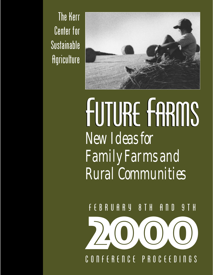The Kerr Center for Sustainable **Agriculture** 



# FUTURE FARMS *New Ideas for Family Farms and Rural Communities*

F E B R U A R Y 8 T H A N D 9 T H

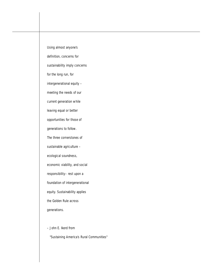Using almost anyone's definition, concerns for sustainability imply concerns for the long run, for intergenerational equity – meeting the needs of our current generation while leaving equal or better opportunities for those of generations to follow. The three cornerstones of sustainable agriculture – ecological soundness, economic viability, and social responsibility– rest upon a foundation of intergenerational equity. Sustainability applies the Golden Rule across generations. – John E. Ikerd from

"Sustaining America's Rural Communities"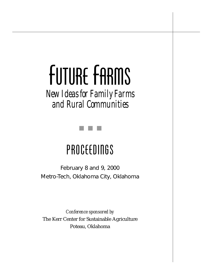# FUTURE FARMS

*New Ideas for Family Farms and Rural Communities*



### PROCEEDINGS

February 8 and 9, 2000 Metro-Tech, Oklahoma City, Oklahoma

*Conference sponsored by*  The Kerr Center for Sustainable Agriculture Poteau, Oklahoma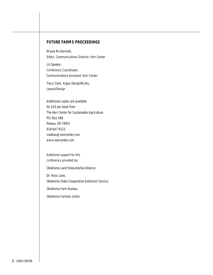#### **FUTURE FARMS PROCEEDINGS**

Maura McDermott, *Editor, Communications Director, Kerr Center*

Liz Speake, *Conference Coordinator, Communications Assistant, Kerr Center*

Tracy Clark, Argus DesignWorks, *Layout/Design*

Additional copies are available for \$10 per book from The Kerr Center for Sustainable Agriculture P.O. Box 588 Poteau, OK 74953 918-647-9123 mailbox@kerrcenter.com www.kerrcenter.com

*Additional support for this conference provided by:*

Oklahoma Land Stewardship Alliance

Dr. Ross Love, Oklahoma State Cooperative Extension Service

Oklahoma Farm Bureau

Oklahoma Farmers Union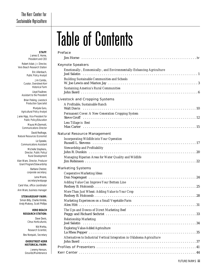## Table of Contents

| STAFF:                          | <b>Preface</b>                                                                                                                                                                                                                                                                                           |
|---------------------------------|----------------------------------------------------------------------------------------------------------------------------------------------------------------------------------------------------------------------------------------------------------------------------------------------------------|
| E. Horne,<br>and CEO            |                                                                                                                                                                                                                                                                                                          |
| . Director,<br>h Station:       | <b>Keynote Speakers</b>                                                                                                                                                                                                                                                                                  |
| Jlenbach,                       | Emotionally-, Economically-, and Environmentally-Enhancing Agriculture<br>Joel Salatin (interview intervention in the contract of the contract of the contract of the contract of the contract of the contract of the contract of the contract of the contract of the contract of the contract of the co |
| y Analyst:<br>n Combs,          | Building Sustainable Communities and Schools                                                                                                                                                                                                                                                             |
| street-Kerr                     |                                                                                                                                                                                                                                                                                                          |
| rical Farm                      | Sustaining America's Rural Communities                                                                                                                                                                                                                                                                   |
| Faulkner,<br>President          |                                                                                                                                                                                                                                                                                                          |
| Livestock                       | <b>Livestock and Cropping Systems</b>                                                                                                                                                                                                                                                                    |
| Specialist                      | A Profitable, Sustainable Ranch                                                                                                                                                                                                                                                                          |
| jula Guru,<br>y Analyst:        | <b>Walt Davis</b>                                                                                                                                                                                                                                                                                        |
| sident for                      | Permanent Cover: A New Generation Cropping System                                                                                                                                                                                                                                                        |
| Education                       |                                                                                                                                                                                                                                                                                                          |
| :Dermott,                       | Less Tillage is Best                                                                                                                                                                                                                                                                                     |
| s Director<br>Redhage,          |                                                                                                                                                                                                                                                                                                          |
| conomist:                       | <b>Natural Resource Management</b>                                                                                                                                                                                                                                                                       |
| z Speake,<br>Assistant          | Incorporating Wildlife into Your Operation<br>Russell L. Stevens and the contract of the contract of the contract of the contract of the contract of the contract of the contract of the contract of the contract of the contract of the contract of the contract of the con                             |
| stephens,                       | Stewardship and Profitability                                                                                                                                                                                                                                                                            |
| lic Policy/<br><i>relopment</i> |                                                                                                                                                                                                                                                                                                          |
| Producer                        | Managing Riparian Areas for Water Quality and Wildlife                                                                                                                                                                                                                                                   |
| wardship!                       |                                                                                                                                                                                                                                                                                                          |
| Chester,                        | <b>Marketing Systems</b>                                                                                                                                                                                                                                                                                 |
| secretary;                      | Cooperative Marketing Ideas                                                                                                                                                                                                                                                                              |
| ia Moore,<br>webpage            | Dan Nagengast (and all contact and all contact and all contact and all contact and all contact and all contact and all contact and all contact and all contact and all contact and all contact and all contact and all contact                                                                           |
| ordinator                       | Adding Value Can Improve Your Bottom Line                                                                                                                                                                                                                                                                |
| manager                         | More Than Just Wheat: Adding Value to Your Crop                                                                                                                                                                                                                                                          |
| P FARM:                         |                                                                                                                                                                                                                                                                                                          |
| e Kimble,                       | Marketing Experiences on a Small Vegetable Farm                                                                                                                                                                                                                                                          |
| tt Phillips                     |                                                                                                                                                                                                                                                                                                          |
| ) BEACH                         | The Ups and Downs of Direct Marketing Beef                                                                                                                                                                                                                                                               |
| <b>TATION:</b>                  | Peggy and Richard Sechrist Material Account of the University Contract of the Peggy and Richard Sechrist Material Account 23                                                                                                                                                                             |
| ive Davis,<br>ticulturist,      | Relationship Marketing                                                                                                                                                                                                                                                                                   |
| ik Mehta,                       |                                                                                                                                                                                                                                                                                                          |
| Scientist,                      | Exploring Value-Added Agriculture                                                                                                                                                                                                                                                                        |
| Secretary                       | Alternatives to Industrial Vertical Integration in Oklahoma Agriculture                                                                                                                                                                                                                                  |
| ET-KERR                         |                                                                                                                                                                                                                                                                                                          |
| L FARM:                         |                                                                                                                                                                                                                                                                                                          |
| / Henson,                       |                                                                                                                                                                                                                                                                                                          |
| intenance                       |                                                                                                                                                                                                                                                                                                          |

#### **STAFF**: James *President and CEO*

Robert Adair, Jr. *Vero Beach Researd* 

> Eric A **Public Polic**

Jir *Curator, Overs Histor* Lloyd

Assistant to the Brian Freking,

**Production** Man **Agricultural Polic** 

Janie Hipp, Vice-Pre **Public Policy/** 

> Maura Mo *Communication*

David **Natural Resources E** 

> Liz *Communications*

> > Michelle S Director, Pub **Rural Dev**

Alan Ware, Director, *Grant Program/Ste* 

> Barbara *corporate secretary;* Len

secretary/ Carol Vise, office co

Ann Ware, business

**STEWARDSHII** 

Simon Billy, Charlie Andy Makovy, Sco

#### **VERO RESEARCH S**

Da *Citrus Horticulturist* 

Ni  $Research$ Bev Norquist,

#### **OVERSTRE HISTORICA**

**Jeremy** Grounds/Ma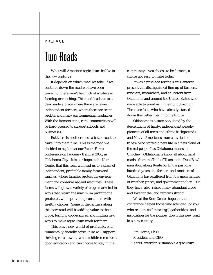#### <span id="page-5-0"></span>PREFACE

### Two Roads

What will American agriculture be like in the new century?

It depends on which road we take. If we continue down the road we have been traveling, there won't be much of a future in farming or ranching. This road leads us to a dead end– a place where there are fewer independent farmers, where there are scant profits, and many environmental headaches. With the farmers gone, rural communities will be hard-pressed to support schools and businesses.

But there is another road, a better road, to travel into the future. This is the road we decided to explore at our *Future Farms* conference on February 8 and 9, 2000, in Oklahoma City. It is our hope at the Kerr Center that this road will lead us to a place of independent, profitable family farms and ranches, where families protect the environment and conserve natural resources. These farms will grow a variety of crops marketed in ways that return the maximum profit to the producer, while providing consumers with healthy choices. Some of the farmers along this new road will be adding value to their crops, forming cooperatives, and finding new ways to make agriculture work for them.

This brave new world of profitable, environmentally-friendly agriculture will support thriving rural towns, where children receive a good education and can choose to stay in the

community, even choose to be farmers, a choice not easy to make today.

It was a privilege for the Kerr Center to present this distinguished line-up of farmers, ranchers, researchers, and educators from Oklahoma and around the United States who were able to point us in the right direction. These are folks who have already started down this better road into the future.

Oklahoma is a state populated by the descendants of hardy, independent people– pioneers of all races and ethnic backgrounds and Native Americans from a myriad of tribes– who started a new life in a new "land of the red people," as Oklahoma means in Choctaw. Oklahomans know all about hard roads– from the Trail of Tears to the Dust Bowl migration along Route 66. In the past one hundred years, the farmers and ranchers of Oklahoma have suffered from the uncertainties of weather, prices, and government policy. But they have also raised many abundant crops and love for the land remains strong.

We at the Kerr Center hope that this conference helped those who attended (or you who read these *Proceedings*) gather ideas and inspiration for the journey down this new road in a new century.

Jim Horne, Ph.D. President and CEO Kerr Center for Sustainable Agriculture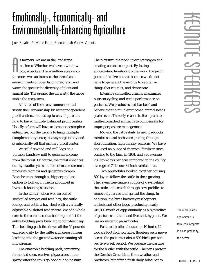### <span id="page-6-0"></span>Emotionally-, Economically- and Environmentally-Enhancing Agriculture

*Joel Salatin, Polyface Farm, Shenandoah Valley, Virginia*

S farmers, we are in the landscape<br>business. Whether we have a windo<br>box, a backyard or a million acre rat<br>the more we can intersect the three basic s farmers, we are in the landscape business. Whether we have a window box, a backyard or a million acre ranch, environments of open land, forest land, and water, the greater the diversity of plant and animal life. The greater the diversity, the more stable the ecosystem.

All three of these environments must justify their stewardship by being independent profit centers, and it's up to us to figure out how to have multiple, balanced profit centers. Usually a farm will have at least one centerpiece enterprise, but the trick is to hang multiple complementary enterprises synergistically and symbiotically off that primary profit center.

We sell firewood and mill logs on a portable bandsaw mill to generate income from the forest. Of course, the forest enhances our hydraulic cycles, buffers climate extremes, produces biomass and generates oxygen. Branches run through a chipper produce carbon to lock up nutrients produced in livestock housing situations.

In the winter, when we run out of stockpiled forages and feed hay, the cattle lounge and eat in a hay shed with a vertically adjustable V-slotted feeder gate. We add whole corn to the carbonaceous bedding and let the entire bedding pack build up to four-feet deep. This bedding pack ties down all the 50 pounds excreted daily by the cattle and keeps it from leaching into the groundwater or running off into streams.

The anaerobic bedding pack, containing fermented corn, receives pigaerators in the spring after the cows go back out on pasture. The pigs turn the pack, injecting oxygen and creating aerobic compost. By letting appreciating livestock do the work, the profit potential is size neutral because we do not have to generate the income to capitalize things that rot, rust, and depreciate.

Intensive controlled grazing maximizes nutrient cycling and cattle performance on pastures. We produce salad bar beef, and believe that no multi-stomached animal needs grain--ever. The only reason to feed grain to a multi-stomached animal is to compensate for improper pasture management.

Moving the cattle daily to new paddocks mimics natural herbivore grazing through short duration, high density patterns. We have not used an ounce of chemical fertilizer since coming to the farm in 1961, and yet average 250 cow-days per acre compared to the county average of 70 in our 31-inch rainfall area.

Two eggmobiles hooked together housing 800 layers follow the cattle in their grazing. The layers free-range a couple of days behind the cattle and scratch through cow paddies to remove fly larvae and spread the dung. In addition, the birds harvest grasshoppers, crickets and other bugs, producing nearly \$15,000 worth of eggs annually as a byproduct of pasture sanitation and livestock hygiene. We use no systemic parasiticides.

Pastured broilers housed in 10 foot x 12 foot x 2 foot high portable, floorless pens move across the pasture at about 500 birds per acre per five-week period. We prepare the pasture for the broiler with the cattle. The pens protect the Cornish Cross birds from weather and predators; but offer a fresh daily salad bar to

The more plants and animals a farm can integrate in close proximity, the better.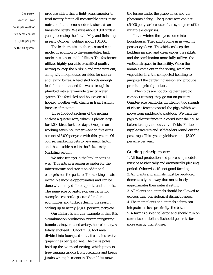One person working seven hours per week on five acres can net \$15,000 per year with this system.

produce a bird that is light-years superior to fecal factory fare in all measurable areas: taste, nutrition, humaneness, odor, texture, cleanliness and safety. We raise about 8,000 birds a year, processing the first in May and finishing in early October, yielding about \$50,000.

The feathernet is another pastured egg model in addition to the eggmobiles. Each model has assets and liabilities. The feathernet utilizes highly-portable electrified poultry netting to keep the birds in and predators out, along with hoophouses on skids for shelter and laying boxes. A feed sled holds enough feed for a month, and the water trough is plumbed into a farm-wide gravity water system. The feed sled and houses are all hooked together with chains in train fashion for ease of moving.

Three 150-foot sections of the netting enclose a quarter acre, which is plenty large for 1,000 birds for three days. One person working seven hours per week on five acres can net \$15,000 per year with this system. Of course, marketing gets to be a major factor, and that is addressed in the *Relationship Marketing* section.

We raise turkeys in the broiler pens as well. This acts as a season extender for the infrastructure and stacks an additional enterprise on the pasture. The stacking creates incredible income opportunities and can be done with many different plants and animals. The same acre of pasture on our farm, for example, sees cattle, pastured broilers, eggmobiles and turkeys during the season, adding up to nearly \$5,000 per acre, per year.

Our biniary is another example of this. It is a combination production system integrating bunnies, vineyard, and aviary, hence biniary. A totally enclosed 100 foot x 100 foot area divided into four quadrants, it contains twelve grape vines per quadrant. The trellis poles hold up the overhead netting, which protects free- ranging rabbits from predators and keeps jumbo white pheasants in. The rabbits mow

the forage under the grape vines and the pheasants debug. The quarter acre can net \$5,000 per year because of the synergism of the multiple enterprises.

In the winter, the layers come into hoophouses. The rabbits come in as well, in pens at eye level. The chickens keep the bedding aerated and clean under the rabbits and the combination more fully utilizes the vertical airspace in the facility. When the animals come out in the spring, we plant vegetables into the composted bedding to jumpstart the gardening season and produce premium-priced produce.

When pigs are not doing their aerobic compost turning, they go out on pasture. Quarter-acre paddocks divided by two strands of electric fencing control the pigs, which we move from paddock to paddock. We train the pigs to electric fence in a corral near the house before taking them out to the fields. Portable nipple-waterers and self-feeders round out the pasturage. This system yields around \$3,000 per acre per year.

#### Guiding principles are:

1. All food production and processing models must be aesthetically and aromatically pleasing, period. Otherwise, it's not good farming. 2. All plants and animals must be produced domestically in a way that most closely approximates their natural setting. 3. All plants and animals should be allowed to express their physiological distinctiveness. 4. The more plants and animals a farm can integrate in close proximity, the better. 5. A farm is a solar collector and should run on current solar dollars; it should generate far more energy than it uses.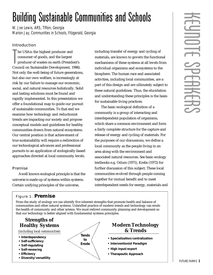### <span id="page-8-0"></span>Building Sustainable Communities and Schools

*W. Joe Lewis, ARS, Tifton, Georgia Marion Jay, Communities in Schools, Fitzgerald, Georgia*

#### **Introduction**

The USA is the highest producer and<br>consumer of goods, and the largest<br>producer of wastes on earth (President's<br>Council on Sustainable Development, 1996). he USAis the highest producer and consumer of goods, and the largest producer of wastes on earth (President's Not only the well-being of future generations, but also our own welfare, is increasingly at risk by our failure to manage our economic, social, and natural resources holistically. Solid and lasting solutions must be found and rapidly implemented. In this presentation we offer a foundational map to guide our pursuit of sustainable communities. To that end we examine how technology and reductionist trends are impacting our society and propose conceptual models and guidelines for healthy communities drawn from natural ecosystems. Our central position is that achievement of true sustainability will require a redirection of our technological advances and professional pursuits to an application of ecologically-based approaches directed at local community levels.

#### **Premise**

Awell known ecological principle is that the universe is made up of systems within systems. Certain unifying principles of the universe,

including transfer of energy and cycling of materials, are known to govern the functional mechanisms of these systems at all levels from individual organisms and ecosystems to the biosphere. The human race and associated activities, including local communities, are a part of this design and are ultimately subject to these natural guidelines. Thus, the elucidation and understanding these principles is the basis for sustainable living practices.

The basic ecological definition of a community is a group of interacting and interdependent population of organisms, which share a common environment and form a fairly complete structure for the capture and release of energy and cycling of materials. For the purposes of our discussions, we define a local community as the people living in an area along with the environment and associated natural resources. See basic ecology textbooks e.g. Odum (1971), Krebs (1972) for further discussion of this subject. These local communities evolved through people coming together for mutual benefit and to meet interdependent needs for energy, materials and

#### Figure 1. **Premise**

From the study of ecology we can identify five inherent strengths that promote health and balance of communities and other natural systems. Unbridled practice of modern trends and technology can erode the health of community and other sytems. We must redirect community planning and development so that our technology is better aligned with fundamental systems principles.

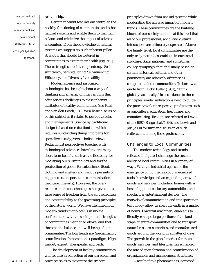...we can redirect our community management and development strategies...to an ecologically-based approach.

relationship.

Certain inherent features are central to the healthy functioning of communities and other natural systems and enable them to maintain balance and minimize the impact of adverse encounters. From the knowledge of natural systems we suggest six such inherent pillar strengths that should be fostered in communities to assure their health *(Figure 1)*. These strengths are: Interdependency, Selfsufficiency, Self-regulating, Self-renewing, Efficiency, and Diversity/versatility.

Modern science and associated technologies has brought about a way of thinking and an array of interventions that offer serious challenges to these inherent attributes of healthy communities (see Flint and van den Bosch, 1981 for a basic discussion of this subject as it relates to pest outbreaks and management). Science by traditional design is based on reductionism, which requires subdividing things into parts for specialized study, versus holistic views. Reductionist perspectives together with technological advances have brought many short-term benefits such as the flexibility for modifying our surroundings and for the production of goods for subsistence (food, clothing and shelter) and various pursuits of happiness (transportation, communication, medicine, fine arts). However, the overreliance on these technologies has given us a false sense of freedom from the connectedness and accountability to the governing principles of the natural world. We have identified four modern trends that place us in undue confrontation with the six important strengths of communities mentioned above, and that threaten the balance and well being of our communities. The four trends are: Specialization/ centralization, Interventionist paradigm, High import/export, Therapeutic approach.

The development of healthy communities will require a redirection of our paradigm and **4** KERR CENTER **practices so as to maximize the six core** 

principles drawn from natural systems while moderating the adverse impact of modern trends. These communities are the building blocks of our society and it is at this level that all of our professional, social and cultural interactions are ultimately expressed. Above the family level, local communities are the only truly natural assemblage in our social structure. State, national, and sometimes county groupings, though usually based on certain historical, cultural and other parameters, are relatively arbitrary as compared to local communities. To borrow a quote from Bucky Fuller (1981), "Think globally, act locally." In accordance to these principles similar redirections need to guide the practices of our respective professions such as agriculture, education, healthcare, and manufacturing. Readers are referred to Lewis, et al. (1997) Senge et al.(1994), and Lewis and Jay (2000) for further discussion of such redirections among these professions.

#### Challenges to Local Communities

The modern technology and trends reflected in figure 1 challenge the sustainability of local communities in a variety of ways. With the industrial age, came the emergence of high technology, specialized tools, knowledge and an expanding array of goods and services, including homes with a host of appliances, luxury automobiles, and spectacular entertainment devices. The marvels of communication and transportation technology allow us span the earth in a matter of hours. Powerful machinery enable us to literally reshape large portions of the landscape of entire communities and to transport natural resources, services and manufactured goods around the world in a matter of days. The growth in the global market for these goods, services, and lifestyles has enhanced the rate of specialization and centralization of organizations and management structures.

A result of this phenomena is increased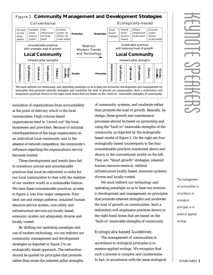

We must redirect our technology and operating paradigm so as to base our economic development and management on principles that promote inherent strengths and moderate the load of growth on communities. Such a redirection will emphasize practices shown in the right-hand boxes that are based on the "built-in" renewable strengths of community.

insulation of organizations from accountability at the point of delivery which is the local communities. High-volume-based organizations tend to "crowd out" the local businesses and providers. Because of minimal interdependence of the large organization on an individual local community and in the absence of reduced competition, the community's influence regarding the organization's service becomes limited.

These developments and trends have led to numerous unwise and unsustainable practices that must be redirected in order for our local communities to deal with the realities of our modern world in a sustainable fashion. We class these unsustainable practices, as seen in figure 2, into four major categories: Poor land use and design patterns, insulated human resource service system, core utility and infrastructure services not locally-based, economic system not adequately diverse and locally-vested.

By shifting our operating paradigm and use of modern technology, we can redirect our community management and development strategies as depicted in figure 2 to an ecologically-based approach. The redirection should be guided by principles that promote rather than erode the inherent pillar strengths

of community systems, and moderate rather than promote the load of growth. Basically, by design, these growth and maintenance processes should be based on promoting and using the "built in" renewable strengths of the community as depicted by the ecologicallybased model of figure 2. On the right are four ecologically-based counterparts to the four unsustainable practices mentioned above and shown in the conventional model on the left. They are: "Smart growth" strategies, inherent human resource renewal, utilities/ infrastructure locally-based, economic systems diverse and locally-vested.

We must redirect our technology and operating paradigm so as to base our economic development and management on principles that promote inherent strengths and moderate the load of growth on communities. Such a redirection will emphasize practices shown in the right-hand boxes that are based on the "built-in" renewable strengths of community.

#### Ecologically-based Guidelines:

The management of communities in accordance to ecological principles is in essence applied ecology. We recognize that such a process is complex and cumbersome. In fact, in accordance with the same ecological

The management of communities in accordance to ecological principles is in essence applied ecology.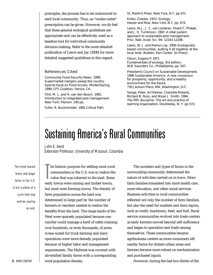<span id="page-11-0"></span>principles, the process has to be customized to each local community. Thus, no "cookie cutter" prescription can be given. However, we do feel that these general ecological guidelines are appropriate and can be effectively used as a baseline tool for individual community decision-making. Refer to the more detailed publication of Lewis and Jay (2000) for more detailed suggested guidelines in this regard.

#### References Cited

Community Food Security News. 1999. *Supermarket mergers sweep the country* . Special Issue on Food Access. Winter/Spring, 1999. CFS Coalition, Venice, CA.

Flint, M. L. and R. van den Bosch. 1981. *Introduction to integrated pest management*. New York: Plenum. 240 pp.

Fuller, R. Buckminister. 1981 *Critical Path*.

St. Martin's Press. New York, N.Y. pp.471.

Krebs, Charles. 1972. *Ecology*. Harper and Row, New York, N.Y. pp. 674.

Lewis, W.J., J. C. van Lenteren, Shard C. Phatak, and J. H. Tumlinson. 1997. *A total system approach to sustainable pest management*. Proc. Natl. Acad. Sci. 94: 12243-12248.

Lewis, W. J. and Marion Jay. 2000. *Ecologicallybased communities: putting it all together at the local level.* Bulletin, Kerr Center. (In Press).

Odum, Eugene P. 1971 *Fundamentals of ecology, 3rd edition*, W.B. Saunders Co., Philadelphia. pp. 547.

President's Council on Sustainable Development. *1996 Sustainable America: A new consensus for prosperity, opportunity, and a healthy environment for the future.* 730 Jackson Place, NW, Washington, D.C.

Senge, Peter, Art Kleiner, Charlotte Roberts, Richard B. Ross, and Bryan J. Smith. 1994. *The fifth discipline: The art and practice of learning organization*. Doubleday, N. Y. pp 572.

### Sustaining America's Rural Communities

*John E. Ikerd Extension Professor, University of Missouri, Columbia*

The trend toward fewer and larger farms in the U.S. is but a phase of a cycle that may well be nearing an end.

The historic purpose for settling most rura<br>communities in the U.S. was to realize the<br>value that was inherent in the land. Som<br>early towns were mining and timber towns, he historic purpose for settling most rural communities in the U.S. was to realize the value that was inherent in the land. Some but most were farming towns. The density of farm population across the land was determined in large part by the number of farmers or ranchers needed to realize the benefits from the land. The range lands of the West were sparsely populated because one rancher could manage a herd of cattle roaming over hundreds, or even thousands, of acres. Areas suited for truck farming and dairy operations were more densely populated because of higher labor and management requirements. The Midwest was covered with diversified family farms with a corresponding rural population density.

The numbers and types of farms in the surrounding community determined the nature of activities carried on in town. More farm families translated into more health care, more education, and other social services. Business activities in rural communities reflected not only the number of farm families, but also the need for markets and farm inputs, such as credit, machinery, feed, and fuel. Rural service communities evolved into trade centers as early farmers moved beyond self-sufficiency and began to specialize and trade among themselves. These communities became agribusiness centers as more consumers left nearby farms for distant urban areas and farmers became more reliant on mechanization and purchased inputs.

However, during the last two-thirds of the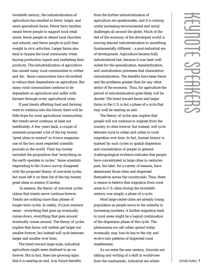twentieth century, the industrialization of agriculture has resulted in fewer, larger, and more specialized farms. Fewer farm families meant fewer people to support local retail stores, fewer people to attend local churches and schools, and fewer people to pull their weight in civic activities. Larger farms also tend to bypass the local community when buying production inputs and marketing their products. The industrialization of agriculture has caused many rural communities to wither and die. Some communities have diversified to reduce their dependence on agriculture. But many rural communities continue to be dependent on agriculture and suffer with farmers through every agricultural crisis.

If past trends affecting food and farming were to continue into the future, there will be little hope for rural agricultural communities. But trends never continue, at least not indefinitely. A few years back, a couple of scientists proposed a list of the top twenty "great ideas in science" in *Science* magazine, one of the two most respected scientific journals in the world. Their top twenty included the proposition that "everything on the earth operates in cycles." Some scientists responding to the *Science* survey disagreed with the proposed theory of universal cycles, but most left it on their list of the top twenty great ideas in science (Culotta).

In essence, the theory of universal cycles claims that trends never continue forever. Trends are nothing more than phases of longer-term cycles. In reality, it's just common sense – everything that goes up eventually comes down, everything that goes around eventually comes around. The theory of cycles implies that farms will neither get larger nor smaller forever, but instead will cycle between larger and smaller over time.

The trend toward large-scale, industrial agriculture might seem destined to go on forever. But in fact, there are growing signs that it is nearing an end. Any future benefits from the further industrialization of agriculture are questionable, and it is coming under increasing environmental and social challenges all around the globe. Much of the rest of the economy of the developed world is moving beyond industrialization to something fundamentally different – a post-industrial era of development. Agriculture became fully industrialized last, because it was least wellsuited for the specialization, standardization, and centralization processes that characterize industrialization. The benefits have been fewer and the problems greater than for any other sector of the economy. Thus, for agriculture the period of industrialization quite likely will be shorter. The trend toward fewer and larger farms in the U.S. is but a phase of a cycle that may well be nearing an end.

The theory of cycles also implies that people will not continue to migrate from the country to cities forever, but instead, will cycle between rural to urban and urban to rural migration over time. In fact, human history is marked by such cycles in spatial dispersion and concentration of people in general. Anthropological evidence indicates that people have concentrated in large cities in centuries past, but later, for a variety of reasons, have abandoned those cities and dispersed themselves across the countryside. Thus, there is reason to believe that migration from rural areas to U.S. cities during the twentiethcentury was simply a phase of a cycle.

Most large center-cities are already losing population as people move to the suburbs in increasing numbers. A further migration back to rural areas might be a logical continuation of the dispersion phase of this cycle. The phenomena we call urban sprawl today eventually may lose its ties to the city and evolve into patterns of dispersed rural resettlement.

As we enter the new century, futurists are talking and writing of a shift in worldview from the mechanistic, industrial era where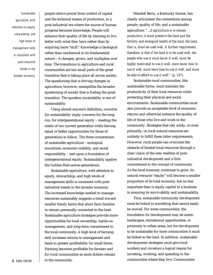Sustainable agriculture, with attention to equity, stewardship, and high levels of management skills is consistent with post-industrial trends in the broader economy.

people derive power from control of capital and the technical means of production, to a post-industrial era where the source of human progress becomes knowledge. People will enhance their quality of life by learning to live better with what they have rather than by acquiring more "stuff." Knowledge is biological rather than mechanical in its fundamental nature – it changes, grows, and multiplies over time. The transitions in agriculture and rural communities are but small parts of the great transition that is taking place all across society. The questioning that is driving changes in agriculture, however, exemplifies the broader questioning of society that is fueling the great transition. The question invariability is one of sustainability.

Using almost anyone's definition, concerns for sustainability imply concerns for the long run, for intergenerational equity – meeting the needs of our current generation while leaving equal or better opportunities for those of generations to follow. The three cornerstones of sustainable agriculture – ecological soundness, economic viability, and social responsibility – rest upon a foundation of intergenerational equity. Sustainability applies the Golden Rule across generations.

Sustainable agriculture, with attention to equity, stewardship, and high levels of management skills is consistent with postindustrial trends in the broader economy. The increased knowledge needed to manage resources sustainably suggests a trend toward smaller family farms that allow farm families to remain personally connected to the land. Sustainable agriculture strategies provide more opportunities for local ownership, hands-on management, and long-term commitment to the local community. A high level of farming skill increases returns to management and leads to greater profitability for small farms. Farming becomes profitable for farmers and for rural communities as more dollars remain **8** KERR CENTER **in the community.** 

Wendell Berry, a Kentucky farmer, has clearly articulated the connections among people, quality of life, and a sustainable agriculture. *"...if agriculture is to remain productive, it must preserve the land and the fertility and ecological health of the land; the land, that is, must be used well. A further requirement, therefore, is that if the land is to be used well, the people who use it must know it well, must be highly motivated to use it well, must know how to use it well, must have time to use it well, and must be able to afford to use it well." (p. 147).*

Sustainable rural communities, like sustainable farms, must maintain the productivity of their local resources while protecting their physical and social environments. Sustainable communities must also provide an acceptable level of economic returns and otherwise enhance the quality of life of those who live and work in the community. Strategies that rely solely, or even primarily, on local natural resources are unlikely to fulfill these latter requirements. However, rural people can overcome the obstacle of limited local resources through a clear vision of the new realities of postindustrial development and a firm commitment to the concept of community. As the local economy continues to grow, its natural resource "equity" will become a smaller proportion of its total economy, but no less important than is equity capital to a business in ensuring its survivability and sustainability.

Thus, sustainable community development must be linked to something that cannot easily be moved. For some communities, the foundation for development may be scenic landscapes, recreational opportunities, or proximity to urban areas, but for development to be sustainable for most communities it must be linked to the land. In addition, sustainable development strategies must give local workers and investors a logical reason for investing, working, and spending in the communities where they live. Communities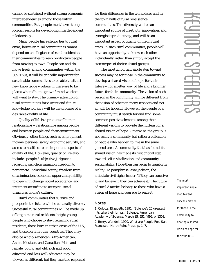cannot be sustained without strong economic interdependencies among those within communities. But, people must have strong logical reasons for developing interdependent relationships.

Many people have strong ties to rural areas; however, rural communities cannot depend on an allegiance of rural residents to their communities to keep productive people from moving to town. People can and do move freely among communities within the U.S. Thus, it will be critically important for sustainable communities to be able to attract new knowledge workers, if there are to be places where "home-grown" mind workers will want to stay. The primary attraction of rural communities for current and future knowledge workers will be the promise of a desirable quality of life.

Quality of life is a product of human relationships -- relationships among people and between people and their environment. Obviously, other things such as employment, income, personal safety, economic security, and access to health care are important aspects of quality of life. However, quality of life also includes peoples' subjective judgments regarding self-determination, freedom to participate, individual equity, freedom from discrimination, economic opportunity, ability to cope with change, social acceptance, and treatment according to accepted social principles of one's culture.

Rural communities that survive and prosper in the future will be culturally diverse. Successful rural communities will be made up of long-time rural residents, bright young people who choose to stay, returning rural residents, those born in urban areas of the U.S., and those born in other countries. They may also be Anglo-American, Afro-American, Asian, Mexican, and Canadian. Male and female, young and old, rich and poor, educated and less well-educated may be viewed as different, but they must be respected for their differences in the workplaces and in the town halls of rural renaissance communities. This diversity will be an important source of creativity, innovation, and synergistic productivity, and will be an important aspect of quality of life in rural areas. In such rural communities, people will have an opportunity to know each other individually rather than simply accept the stereotypes of their cultural groups.

The most important single step toward success may be for those in the community to develop a shared vision of hope for their future -- for a better way of life and a brighter future for their community. The vision of each person in the community will be different from the vision of others in many respects and not all will be hopeful. However, the people of a community must search for and find some common positive elements among their different visions to provide the nucleus for a shared vision of hope. Otherwise, the group is not really a community but rather a collection of people who happen to live in the same general area. A community that has found its shared vision has made its first critical step toward self-revitalization and community sustainability. Hope then can begin to transform reality. To paraphrase Jesse Jackson, the articulate civil rights leader, "if they can conceive it, and believe it, they can achieve it." The future of rural America belongs to those who have a vision of hope and courage to seize it.

#### **Notes**

1. Culotta, Elizabeth. 1991. *"*Science's 20 greatest hits take their lumps,*" Science*, American Academy of Science, March 15, 251:4999, p. 1308. 2. Berry, Wendell. 1990. *What are People For*. San Francisco: North Point Press, p. 147.

The most important single step toward success may be for those in the community to develop a shared vision of hope for their future....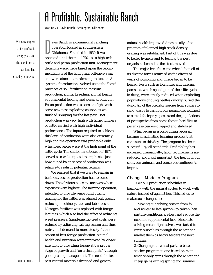### A Profitable, Sustainable Ranch

*Walt Davis, Davis Ranch, Bennington, Oklahoma*

<span id="page-15-0"></span>We now expect to be profitable every year, and the condition of our land has steadily improved.

avis Ranch is a commercial ranching<br>operation located in southeastern<br>Oklahoma. Founded in 1950, it was<br>operated until the mid-1970's as a high-tech avis Ranch is a commercial ranching operation located in southeastern Oklahoma. Founded in 1950, it was cattle and pecan production unit. Management decisions were made based upon the recommendations of the land grant college system and were aimed at maximum production. A system of production evolved using the "best" practices of soil fertilization, pasture production, animal breeding, animal health, supplemental feeding and pecan production. Pecan production was a constant fight with some new pest exploding as soon as we finished spraying for the last pest. Beef production was very high with large numbers of cattle carried with high individual performance. The inputs required to achieve this level of production were also extremely high and the operation was profitable only when beef prices were at the high point of the cattle cycle. The cattle market crash of 1974 served as a wake-up call to emphasize just how out-of-balance cost of production was, relative to realistic potential returns.

We realized that if we were to remain in business, cost of production had to come down. The obvious place to start was where expenses were highest. The farming operation, intended to provide year-round quality grazing for the cattle, was phased out, greatly reducing machinery, fuel, and labor costs. Nitrogen fertilizer was replaced with forage legumes, which also had the effect of reducing weed pressure. Supplemental-feed costs were reduced by adjusting calving season and thus nutritional demand to more closely fit the season of best forage production. Animal health and nutrition were improved by closer attention to providing forage at the proper stage of growth and "on a clean plate" through good grazing management. The need for toxic pest control materials dropped and general

animal health improved dramatically after a program of planned high-stock-density grazing was established. Part of this was due to better hygiene and to leaving the pest organisms behind as the stock moved.

The major benefits came when life in all of its diverse forms returned as the effects of years of poisoning and tillage began to be healed. Pests such as horn flies and internal parasites, which spend part of their life cycle in dung, were greatly reduced when exploding populations of dung beetles quickly buried the dung. All of the predator species from spiders to sand wasps to carnivorous nematodes returned to control their prey species and the populations of pest species from horse flies to heel flies to pecan case bearers dropped and stabilized.

What began as a cost-cutting program became a fascinating learning process that continues to this day. The program has been successful by all standards. Profitability has increased dramatically, labor requirements are reduced, and most important, the health of our soils, our animals, and ourselves continues to improve.

#### Changes Made in Program

I. Get our production schedules in harmony with the natural cycles; to work with nature instead of against her. This led us to make such changes as:

1. Moving our calving season from fall and winter to late spring-- to calve when pasture conditions are best and reduce the need for supplemental feed. Since late calving meant light calves, we started to carry our calves through the winter and market them as heavy feeders the next summer.

2. Changing our wheat pasture-based stocker program to one based on maintenance-only gains through the winter and cheap gains during spring and summer.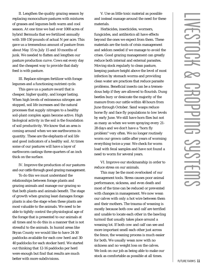II. Lengthen the quality grazing season by replacing monoculture pastures with mixtures of grasses and legumes both warm and cool season. At one time we had over 1000 acres of hybrid Bermuda that we fertilized annually with 100-150 pounds of actual N per acre. This gave us a tremendous amount of pasture from about May 15 to July 15 and 10 months of junk. We needed to flatten and lengthen our pasture production curve. Cows eat every day and the cheapest way to provide that daily feed is with pasture.

III. Replace nitrogen fertilizer with forage legumes and a functioning nutrient cycle.

This gave us a pasture sward that is cheaper, higher quality, and longer lasting. When high levels of extraneous nitrogen are stopped, soil life increases and the natural processes that supply nitrogen to a healthy soil-plant complex again become active. High biological activity in the soil is the foundation of soil productivity. We know that an area is coming around when we see earthworms in quantity. These are the elephants of soil life and good indicators of a healthy soil. At times some of our pastures will have a layer of earthworm castings three-quarters of an inch thick on the surface.

IV. Improve the production of our pastures and our cattle through good grazing management.

To do this we must understand the relationships between forage plants and grazing animals and manage our grazing so that both plants and animals benefit. The stage of growth when grazing least damages forage plants is also the stage when these plants are most valuable to the animals. We need to be able to tightly control the physiological age of the forage that is presented to our animals at all times and to do this in a manner that is not stressful to the animals. In humid areas like Bryan County we would like to have 24-30 paddocks available for each cow herd and 30- 40 paddocks for each stocker herd. We started out thinking that 12-16 paddocks per herd were enough but find that results are much better with more subdivisions.

V. Use as little toxic material as possible and instead manage around the need for these materials.

Herbicides, insecticides, wormers, fungicides, and antibiotics all have effects beyond the ones we expect from them. These materials are the tools of crisis management and seldom needed if we manage to avoid the crises. Good grazing management can greatly reduce both internal and external parasites. Moving stock regularly to clean pasture, keeping pasture height above the level of most infection by stomach worms and providing clean water are practices that reduce parasite problems. Beneficial insects can be a tremendous help if they are allowed to flourish. Dung beetles bury or desiccate the majority of the manure from our cattle within 48 hours from June through October. Sand wasps reduce horse fly and face fly populations to low levels by early June. We still have horn flies but not as many as when we were spraying every 21- 28 days and we don't have a "horn fly problem" very often. We no longer routinely worm our grown cattle after years of worming everything twice a year. We check for worm load with fecal samples and have not found a need to worm for several years.

VI. Improve our stockmanship in order to reduce stress on our animals.

This may be the most overlooked of our management tools. Stress causes poor animal performance, sickness, and even death and most of the time can be reduced or prevented with changes in management. We now wean our calves with only a hot wire between them and their mothers. The trauma of weaning is mostly because both cow and calf are terrified and unable to locate each other in the bawling turmoil that usually takes place around a weaning lot. If both cow and calf can see and more important smell each other just across the fence, the weaning process is much easier for both. We usually wean now with no sickness and no weight loss on the calves. We look on our job as being able to make our stock as comfortable as possible at all times.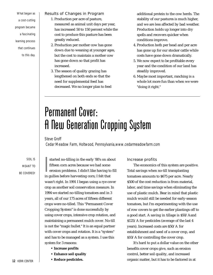<span id="page-17-0"></span>What began as a cost-cutting program became a fascinating learning process that continues to this day.

#### Results of Changes in Program

- 1. Production per acre of pasture, measured as animal unit days per year, has increased 50 to 150 percent while the cost to produce this pasture has been greatly reduced.
- 2. Production per mother cow has gone down due to weaning at younger ages, but the cost to maintain a mother cow has gone down so that profit has increased.
- 3. The season of quality grazing has lengthened on both ends so that the need for supplemental feed has decreased. We no longer plan to feed

additional protein to the cow herds. The stability of our pastures is much higher, and we are less affected by bad weather. Production holds up longer into dry spells and recovers quicker when conditions improve.

- 4. Production both per head and per acre has gone up for our stocker cattle while costs have gone down dramatically.
- 5. We now expect to be profitable every year and the condition of our land has steadily improved.
- 6. Maybe most important, ranching is a whole lot more fun than when we were "doing it right."

### Permanent Cover: A New Generation Cropping System

*Steve Groff*

*Cedar Meadow Farm, Holtwood, Pennsylvania,www.cedarmeadowfarm.com*

SOIL IS MEANT TO BE COVERED!

|<br>|<br>in started no-tilling in the early '80's on about fifteen corn acres because we had some erosion problems. I didn't like having to fill in gullies before harvesting corn; I felt that wasn't right. In 1991 I began using a rye cover crop as another soil conservation measure. In 1994 we started no-tilling tomatoes and in 3 years, all of our 175 acres of fifteen different crops were no-tilled. This "Permanent Cover Cropping System" is done successfully by using cover crops, intensive crop rotation, and maintaining a permanent mulch cover. No-till is not the "magic bullet." It is an equal partner with cover crops and rotation. It is a "system" and has to be managed as a system. I use this system for 3 reasons:

- **Increase profits**
- **Enhance soil quality**
- **Reduce pesticides.**

#### Increase profits

The economics of this system are positive. Total savings when no-till transplanting tomatoes amounts to \$675 per acre. Nearly \$500 of the cost reduction is from material, labor, and time savings when eliminating the use of plastic mulch. Bear in mind that plastic mulch would still be needed for early-season tomatoes, but I'm experimenting with the use of row covers to get the earlier plantings off to a good start. A saving in tillage is \$50/Aand \$125/A for pesticides (average of the last 4 years). Increased costs are \$50/A for establishment and seed of a cover crop, and \$10/A for controlling the cover crop.

It's hard to put a dollar value on the other benefits cover crops give, such as erosion control, better soil quality, and increased organic matter, but it has to be factored in at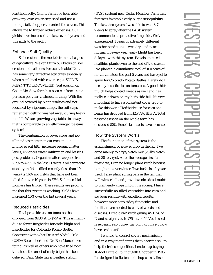least indirectly. On my farm I've been able grow my own cover crop seed and use a rolling stalk chopper to control the covers. This allows me to further reduce expenses. Our yields have increased the last several years and this adds to the profit.

#### Enhance Soil Quality

Soil erosion is the most detrimental aspect of agriculture. We can't turn our backs on soil erosion and call ourselves sustainable! No-till has some very attractive attributes especially when combined with cover crops. SOIL IS MEANT TO BE COVERED! Soil erosion on Cedar Meadow farm has been cut from 14 tons per acre per year to almost nothing. With the ground covered by plant residues and not loosened by vigorous tillage, the soil stays rather than getting washed away during heavy rainfall. We are growing vegetables in a way that is comparable to a well-managed pasture system!

The combination of cover crops and notilling does more than cut erosion -- it improves soil tilth, increases organic matter levels, enhances water infiltration and lessens pest problems. Organic matter has gone from 2.7% to 4.3% in the last 11 years. Soil aggregate stability in fields tilled recently (less than 10 years) is 16% and fields that have not been tilled for over 10 years is 67%. Soil microbial biomass has tripled. These results are proof to me that this system is working. Yields have increased 10% over the last several years.

#### **Reduced Pesticides**

Total pesticide use on tomatoes has dropped from \$200/A to \$75/A. This is mainly due to fewer fungicides for early blight and insecticides for Colorado Potato Beetle. Consistent with what Dr. Aref Abdul- Baki (USDAResearcher) and Dr. Ron Morse have found, as well as others who have tried no-till tomatoes, the onset of early blight has been delayed. Penn State has a weather station

(FAST system) near Cedar Meadow Farm that forecasts favorable early blight susceptibility. The last three years I was able to wait 3-7 weeks to spray after the FAST system recommended a protective fungicide. We've experienced 4 years of extremely different weather conditions -- wet, dry, and near normal. In every year, early blight has been delayed with this system. I've also noticed healthier plants even to the end of the season. I've planted a cumulative total of 100 acres of no-till tomatoes the past 5 years and have yet to spray for Colorado Potato Beetles. Rarely do I use any insecticides on tomatoes. A good thick mulch helps control weeds as well and has really cut down on my herbicide bill. It's very important to have a consistent cover crop to make this work. Herbicide use for corn and beans has dropped from \$25/Ato \$18/A. Total pesticide usage on the whole farm has decreased 50%. Beneficial insects have increased.

#### How the System Works

The foundation of this system is the establishment of a cover crop in the fall. I've gone mainly to a rye/vetch mix (25 lbs. vetch and 30 lbs. rye). After the average first fall frost date, I can no longer plant vetch because it might not overwinter. Two bushels of rye are used. I also plant spring oats in the fall that will winter-kill and provide a nice dead mulch to plant early crops into in the spring. I have successfully no-tilled vegetables into corn and soybean residue with excellent results, however more herbicides, fungicides and fertilizers are needed to control weeds and diseases. I credit rye/vetch giving #50 lbs. of N and straight vetch #75 lbs. of N. Vetch seed is expensive so I grow my own with rye. I now have seed to sell.

I wanted to control covers mechanically and in a way that flattens them near the soil to help their decomposition. I ended up buying a 10-foot Buffalo Rolling Stalk Chopper in 1996. It's designed to flatten and chop cornstalks, on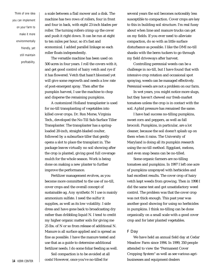Think of one idea you can implement on your farm to make it more en vir on mentall v friendly, yet still maintain profitability.

a scale between a flail mower and a disk. The machine has two rows of rollers, four in front and four in back, with eight 23-inch blades per roller. The turning rollers crimp up the cover and push it right down. It can be run at eight to ten miles per hour, so it's fast and economical. I added parallel linkage so each roller floats independently.

The versatile machine has been used on 500 acres in four years. I roll the covers with it, and get good control of hairy vetch and rye if it has flowered. Vetch that hasn't bloomed yet will give some regrowth and needs a low rate of post-emergent spray. Then after the pumpkin harvest, I use the machine to chop and disperse the remaining pumpkins.

A customized Holland transplanter is used for no-till transplanting of vegetables into killed cover crops. Dr. Ron Morse, Virginia Tech., developed the No-Till Sub-Surface Tiller Transplanter. The transplanter has a springloaded 20-inch, straight-bladed coulter, followed by a subsurface tiller that gently opens a slot to place the transplant in. The package leaves virtually no soil showing after the crop is planted, giving good full coverage mulch for the whole season. Work is being done on making a new planter to further improve the performance.

Fertilizer management evolves, as you become more committed to the use of no-till, cover crops and the overall concept of sustainable ag. Any synthetic N I use is mainly ammonium sulfate. I need the sulfur it supplies, as well as its low volatility. I side dress and have gone back to broadcasting dry rather than dribbling liquid N. I tend to credit my higher organic matter soils for giving me 25 lbs. of N or so from release of additional N. Manure is all surface applied and is spread as fine as possible. I have the manure tested and use that as a guide to determine additional fertilizer needs. I do some foliar feeding as well.

Soil compaction is to be avoided at all costs! However, once you've no-tilled for

several years the soil becomes noticeably less susceptible to compaction. Cover crops are key to this in building soil structure. I'm real fussy about when lime and manure trucks can get on my fields. If you ever need to alleviate compaction, do so with as little surface disturbance as possible. I like the DMI no-till shanks with the berm tuckers to go through my field driveways after harvest.

Controlling perennial weeds can be a challenge in no-till, but I have found that with intensive crop rotation and occasional spot spraying, weeds can be managed effectively. Perennial weeds are not a problem on our farm.

In wet years, you might notice more slugs, but they haven't chewed our fresh-market tomatoes unless the crop is in contact with the soil. Aphid pressure has remained the same.

I have had success no-tilling pumpkins, sweet corn and peppers, as well as fall broccoli. Pumpkins, in particular, are a lot cleaner, because the soil doesn't splash up on them when it rains. The University of Maryland is doing all its pumpkin research using the no-till method. Eggplant, melons, and even snap beans can be no-tilled.

Some organic farmers are no-tilling tomatoes and pumpkins. In 1997 I left one acre of pumpkins unsprayed with herbicides and had excellent results. The cover crop of hairy vetch kept weeds from growing. Then in 1998 I did the same test and got unsatisfactory weed control. The problem was that the cover crop was not thick enough. This past year was another good showing for using no herbicides in pumpkins. I think no-tilling can be done organically on a small scale with a good cover crop and for later planted vegetables.

#### F Day

We have held an annual field day at Cedar Meadow Farm since 1994. In 1999, 350 people attended to view the "Permanent Cover Cropping System" as well as see various agribusinesses and equipment dealers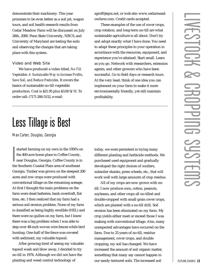<span id="page-20-0"></span>demonstrate their machinery. This year promises to be even better as a soil pit, wagon tours, and soil health research results from Cedar Meadow Farm will be discussed on July 26th, 2000. Penn State University, NRCS, and University of Maryland are testing the soils and observing the changes that are taking place with this system.

#### Video and Web Site

We have produced a video titled, *No-Till Vegetables: A Sustainable Way to Increase Profits, Save Soil, and Reduce Pesticides*. It covers the basics of sustainable no-till vegetable production. Cost is \$21.95 plus \$3.00 S/H. To order call: (717) 284-5152, e-mail:

### Less Tillage is Best

*Max Carter, Douglas, Georgia*

I started farming on my own in the 1950's on the 400-acre home place in Coffee County, near Douglas, Georgia. Coffee County is in the Southern Coastal Plain area of southeast Georgia. Timber was grown on the steepest 200 acres and row crops were produced with conventional tillage on the remaining acreage. At first I thought the main problems on the farm were dead batteries, bank overdraft, flat tires, etc. I then realized that my farm had a serious soil erosion problem. None of my farm is classified as being highly erodible (HEL) and there were no gullies on my farm, but I knew there was a big problem when I was able to step over 48-inch woven wire fences while bird hunting. One-half of the fence was covered with sediment, my valuable topsoil.

After growing tired of seeing my valuable topsoil wash and blow away, I decided to try no-till in 1974. Although we did not have the planting and weed control technology of

sgroff@epix.net, or web site: www.cedarmeadowfarm.com. Credit cards accepted.

These examples of the use of cover crops, crop rotation, and long-term no-till are what sustainable agriculture is all about. Don't try and adopt exactly what I have done. You need to adapt these principles to your operation in accordance with the resources, equipment, and experience you've attained. Start small. Learn as you go. Network with researchers, extension agents, and other growers who have been successful. Go to field days or research tours. At the very least, think of one idea you can implement on your farm to make it more environmentally friendly, yet still maintain profitability.

today, we were persistent in trying many different planting and herbicide methods. We purchased used equipment and gradually developed the right choices of coulters, subsoiler shanks, press wheels, etc., that will work well with large amounts of crop residue.

All of my crops are now grown with notill. I now produce corn, cotton, peanuts, soybeans, and other crops all no-tilled and double-cropped with small grain cover crops, which are planted with a no-till drill. Soil erosion has been eliminated on my farm. My crop yields either meet or exceed those I was making with conventional tillage. Also, many unexpected advantages have occurred on the farm. Due to 25 years of no-till, residue management, cover crops, and double cropping, my soil has changed. We have increased the amount of soil organic matter, something that many say cannot happen in our sandy-textured soils. The increased soil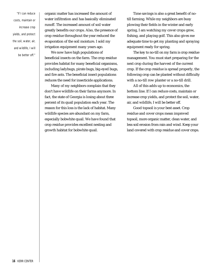"If I can reduce costs, maintain or increase crop yields, and protect the soil, water, air, and wildlife, I will be better off. " organic matter has increased the amount of water infiltration and has basically eliminated runoff. The increased amount of soil water greatly benefits our crops. Also, the presence of crop residue throughout the year reduced the evaporation of the soil moisture. I sold my irrigation equipment many years ago.

We now have high populations of beneficial insects on the farm. The crop residue provides habitat for many beneficial organisms, including ladybugs, pirate bugs, big-eyed bugs, and fire ants. The beneficial insect populations reduces the need for insecticide applications.

Many of my neighbors complain that they don't have wildlife on their farms anymore. In fact, the state of Georgia is losing about three percent of its quail population each year. The reason for this loss is the lack of habitat. Many wildlife species are abundant on my farm, especially bobwhite quail. We have found that crop residue provides excellent nesting and growth habitat for bobwhite quail.

Time savings is also a great benefit of notill farming. While my neighbors are busy plowing their fields in the winter and early spring, I am watching my cover crops grow, fishing, and playing golf. This also gives me adequate time to get my planting and spraying equipment ready for spring.

The key to no-till on my farm is crop residue management. You must start preparing for the next crop during the harvest of the current crop. If the crop residue is spread properly, the following crop can be planted without difficulty with a no-till row planter or a no-till drill.

All of this adds up to economics, the bottom line. If I can reduce costs, maintain or increase crop yields, and protect the soil, water, air, and wildlife, I will be better off.

Good topsoil is your best asset. Crop residue and cover crops mean improved topsoil, more organic matter, clean water, and less soil erosion from rain and wind. Keep your land covered with crop residue and cover crops.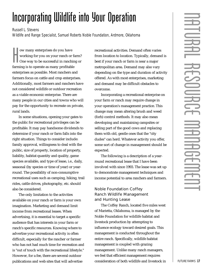### <span id="page-22-0"></span>Incorporating Wildlife into Your Operation

*Russell L. Stevens*

*Wildlife and Range Specialist, Samuel Roberts Noble Foundation, Ardmore, Oklahoma*

w many enterprises do you have<br>working for you on your ranch or f<br>One way to be successful in ranchin<br>farming is to operate as many profitable ow many enterprises do you have working for you on your ranch or farm? One way to be successful in ranching or enterprises as possible. Most ranchers and farmers focus on cattle and crop enterprises. Additionally, most farmers and ranchers have not considered wildlife or outdoor recreation as a viable economic enterprise. There are many people in our cities and towns who will pay for the opportunity to recreate on private, rural lands.

In some situations, opening your gates to the public for recreational privileges can be profitable. It may pay handsome dividends to determine if your ranch or farm falls into the right situation. Things to consider include: family approval, willingness to deal with the public, size of property, location of property, liability, habitat quantity and quality, game species available, and type of lease, i.e., daily, seasonal (by species or time of year) or yearround. The possibility of non-consumptive recreational uses such as camping, hiking, trail rides, cattle drives, photography, etc. should also be considered.

The only limitation to the activities available on your ranch or farm is your own imagination. Marketing and demand limit income from recreational leases. When advertising, it is essential to target a specific audience that has interests in your farm or ranch's specific resources. Knowing where to advertise your recreational activity is often difficult, especially for the rancher or farmer who has not had much time for recreation and is "out of touch with the recreational lifestyle." However, for a fee, there are several outdoor publications and web sites that will advertise

recreational activities. Demand often varies from location to location. Typically, demand is best if your ranch or farm is near a major metropolitan area. Demand may also vary depending on the type and duration of activity offered. As with most enterprises, marketing and demand may be difficult obstacles to overcome.

Incorporating a recreational enterprise on your farm or ranch may require change in your operation's management practice. This change may mean altering brush and weed (forb) control methods. It may also mean developing and maintaining campsites or selling part of the good cows and replacing them with old, gentle ones that the "city dudes" can herd. Whatever activity you offer, some sort of change in management should be expected.

The following is a description of a yearround recreational lease that I have been involved with since 1993. The lease was set up to demonstrate management techniques and income potential to area ranchers and farmers.

#### Noble Foundation Coffey Ranch Wildlife Management and Hunting Lease

The Coffey Ranch, located five miles west of Marietta, Oklahoma, is managed by the Noble Foundation for wildlife habitat and livestock production by attempting to influence ecology toward desired goals. This management is conducted throughout the entire ranch. Specifically, wildlife habitat management is coupled with grazing management. Unlike many ranch managers, we feel that efficient management requires consideration of both wildlife and livestock in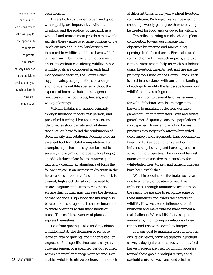There are many people in our cities and towns who will pay for the opportunity to recreate on private, rural lands. The only limitation to the activities available on your ranch or farm is your own imagination. each decision.

Diversity, forbs, timber, brush, and good water quality are important to wildlife, livestock, and the ecology of the ranch as a whole. Land management practices that would sacrifice these values over large portions of the ranch are avoided. Many landowners are interested in wildlife and like to have wildlife on their ranch, but make land management decisions without considering wildlife. Since wildlife goals are considered in each land management decision, the Coffey Ranch supports adequate populations of both game and non-game wildlife species without the expense of intensive habitat management practices such as food plots, feeders, and woody plantings.

Wildlife habitat is managed primarily through livestock impacts, rest periods, and prescribed burning. Livestock impacts are identified as stock density and rotational stocking. We have found the combination of stock density and rotational stocking to be an excellent tool for habitat manipulation. For example, high stock density can be used to severely graze (<3 inch forage stubble height) a paddock during late fall to improve quail habitat by creating an abundance of forbs the following year. If an increase in diversity in the herbaceous component of a certain paddock is desired, high stock density can be used to create a significant disturbance to the soil surface that, in turn, may increase the diversity of that paddock. High stock density may also be used to discourage brush encroachment and to create openings within thick stands of brush. This enables a variety of plants to express themselves.

Rest from grazing is also used to enhance wildlife habitat. The definition of rest is to leave an area of grazing land unharvested, or ungrazed, for a specific time, such as a year, a growing season, or a specified period required within a particular management scheme. Rest **18** KERR CENTER **enables wildlife to utilize portions of the ranch**  at different times of the year without livestock confrontation. Prolonged rest can be used to encourage woody plant growth where it may be needed for food and/or cover for wildlife.

Prescribed burning can also change plant composition toward our management objectives by creating and maintaining openings in timbered areas. Fire is also used in combination with livestock impacts, and to a certain extent rest, to help us reach our habitat goals. Livestock impacts, rest, and fire are the primary tools used on the Coffey Ranch. Each is used in accordance with our understanding of ecology to modify the landscape toward our wildlife and livestock goals.

In addition to general land management for wildlife habitat, we also manage game harvests to maintain or develop desirable game population parameters. State and federal game laws adequately conserve populations of most species. However, prevailing harvest practices may negatively affect white-tailed deer, turkey, and largemouth bass populations. Deer and turkey populations are also influenced by hunting and harvest pressure on surrounding properties. Thus, annual harvest quotas more restrictive than state law for white-tailed deer, turkey, and largemouth bass have been established.

Wildlife populations fluctuate each year due to a variety of positive or negative influences. Through monitoring activities on the ranch, we are able to recognize some of these influences and assess their effects on wildlife. However, some influences remain unknown and make wildlife management a real challenge. We establish harvest quotas annually by monitoring populations of deer, turkey and fish with several techniques.

It is our goal to maintain deer numbers at, or slightly below, carrying capacity. Spotlight surveys, daylight cruise surveys, and detailed harvest records are used to monitor progress toward these goals. Spotlight surveys and daylight cruise surveys are conducted in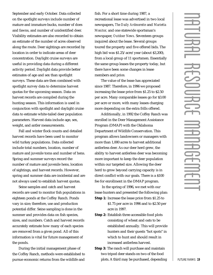September and early October. Data collected on the spotlight surveys include number of mature and immature bucks, number of does and fawns, and number of unidentified deer. Visibility estimates are also recorded to obtain an estimate of the number of acres observed along the route. Deer sightings are recorded by location in order to indicate areas of deer concentration. Daylight cruise surveys are useful in providing data during a different activity period. Daylight data provide better estimates of age and sex than spotlight surveys. These data are then combined with spotlight survey data to determine harvest quotas for the upcoming season. Data on harvest records are compiled during the hunting season. This information is used in conjunction with spotlight and daylight cruise data to estimate white-tailed deer population parameters. Harvest data include age, sex, weight, and antler measurements.

Fall and winter flock counts and detailed harvest records have been used to monitor wild turkey populations. Data collected include total numbers, location, number of mature and juvenile toms and number of hens. Spring and summer surveys record the number of mature and juvenile hens, location of sightings, and harvest records. However, spring and summer data are incidental and are not always used to establish harvest quotas.

Seine samples and catch and harvest records are used to monitor fish populations in eighteen ponds at the Coffey Ranch. Ponds vary in size; therefore, use and production potential differ. Seine sampling is done in the summer and provides data on fish species, sizes, and numbers. Catch and harvest records accurately estimate how many of each species are removed from a given pond. All of this information is vital for future management of the ponds.

During the initial management phase of the Coffey Ranch, methods were established to pursue economic returns from the wildlife and fish. For a short time during 1987, a recreational lease was advertised in two local newspapers, *The Daily Ardmoreite* and *Marietta Monitor,* and one statewide sportsman's newspaper, *Outdoor News*. Seventeen groups inquired about the lease. Several groups toured the property and five offered bids. The high bid was \$1.25/acre/year (about \$3,200), from a local group of 11 sportsmen. Essentially the same group leases the property today, but there have been some changes in lease members and price.

The value of the lease has appreciated since 1987. Therefore, in 1996 we proposed increasing the lease price from \$1.25 to \$2.50 per acre. Many comparable leases go for \$3.00 per acre or more, with many leases charging more depending on the extra frills offered.

Additionally, in 1992 the Coffey Ranch was enrolled in the Deer Management Assistance Program (DMAP) with the Oklahoma Department of Wildlife Conservation. This program allows landowners or managers with more than 1,000 acres to harvest additional antlerless deer. As our deer herd grew, the ability to harvest antlerless deer was becoming more important to keep the deer population within our targeted size. Allowing the deer herd to grow beyond carrying capacity is in direct conflict with our goals. There is a \$100 fee for enrollment in the DMAP program.

In the spring of 1996, we met with our lease hunters and presented the following plan: **Step 1:** Increase the lease price from \$1.25 to

> \$1.75 per acre in 1996 and to \$2.50 per acre in 1997.

**Step 2:** Establish three accessible food plots consisting of wheat and oats to be established annually. This will provide hunters and their guests "hot spots" in which to hunt and should result in increased antlerless harvest.

**Step 3:** The ranch will purchase and maintain two tripod deer stands on two of the food plots. A third may be purchased, depending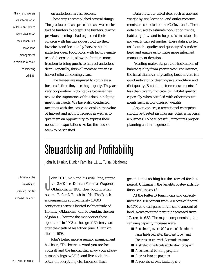<span id="page-25-0"></span>Many landowners are interested in wildlife and like to have wildlife on their ranch, but make land management decisions without considering wildlife.

on antlerless harvest success.

These steps accomplished several things. The graduated lease price increase was easier for the hunters to accept. The hunters, during previous meetings, had expressed their concern with having a guest foul up their favorite stand location by harvesting an antlerless deer. Food plots, with factory-made tripod deer stands, allow the hunters more freedom to bring guests to harvest antlerless deer. Hopefully, this will increase antlerless harvest effort in coming years.

The leasees are required to complete a form each time they use the property. They are very cooperative in doing this because they realize the importance of this data in helping meet their needs. We have also conducted meetings with the leasees to explain the value of harvest and activity records as well as to give them an opportunity to express their needs and expectations. So far, the leasees seem to be satisfied.

Data on white-tailed deer such as age and weight by sex, lactation, and antler measurements are collected on the Coffey ranch. These data are used to estimate population trends, habitat quality, and to help assist in establishing yearly harvest quotas. These data also tell us about the quality and quantity of our deer herd and enable us to make more informed management decisions.

Yearling male data provide indications of habitat quality from year to year. For instance, the basal diameter of yearling buck antlers is a good indicator of deer physical condition and diet quality. Basal diameter measurements of less than twenty indicate low habitat quality, especially when coupled with other measurements such as low dressed weights.

As you can see, a recreational enterprise should be treated just like any other enterprise, a business. To be successful, it requires proper planning and management.

### Stewardship and Profitability

*John R. Dunkin, Dunkin Families L.L.L., Tulsa, Oklahoma*

Ultimately, the benefits of stewardship far exceed the cost.

ohn H. Dunkin and his wife, Jane, start<br>the 2,300 acre Dunkin Farms at Wagone<br>Oklahoma, in 1938. They bought what<br>became Rafter D Ranch in 1941. The Ranch, ohn H. Dunkin and his wife, Jane, started the 2,300 acre Dunkin Farms at Wagoner, Oklahoma, in 1938. They bought what encompassing approximately 13,000 contiguous acres is located right outside of Hominy, Oklahoma. John R. Dunkin, the son of John H., became the manager of these operations in 1968 at the age of 30, ten years after the death of his father. Jane R. Dunkin died in 1998.

John's belief since assuming management has been, "The better steward you are for yourself and the habitat that enjoy your place– human beings, wildlife and livestock– the better off everything else becomes. Each

generation is nothing but the steward for that period. Ultimately, the benefits of stewardship far exceed the cost."

At the Rafter D Ranch, carrying capacity increased 150 percent from 700 cow-calf pairs to 1750 cow-calf pairs on the same amount of land. Acres required per unit decreased from 17 acres to 6.85. The major components in this carrying capacity increase were:

- *Reclaiming over 1000 acres of abandoned farm fields left after the Dust Bowl and Depression era with Bermuda pasture*
- *A strategic herbicide application program*
- *A controlled-burning program*
- *A cross-fencing program*
- *A prioritized pond building and*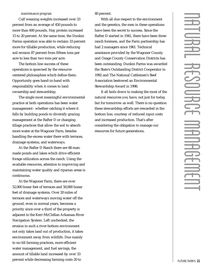#### *maintenance program*

Calf weaning weights increased over 33 percent from an average of 450 pounds to more than 600 pounds. Hay protein increased 15 to 20 percent. At the same time, the Dunkin Farms operation was able to reclaim 33 percent more for tillable production, while reducing soil erosion 87 percent from fifteen tons per acre to less than two tons per acre.

The bottom line success of these operations is spawned by the resourcecentered philosophies which define them. Opportunity goes hand-in-hand with responsibility when it comes to land ownership and stewardship.

The single most meaningful environmental practice at both operations has been water management– whether catching it where it falls by building ponds to diversify grazing management at the Rafter D or changing tillage practices that allow the soil to absorb more water at the Wagoner Farm, besides handling the excess water there with terraces, drainage systems, and waterways.

At the Rafter D Ranch there are 68 manmade ponds and lakes which drive efficient forage utilization across the ranch. Using the available resources, attention to improving and maintaining water quality and riparian areas is continuous.

At the Wagoner Farm, there are over 52,000 linear feet of terraces and 50,000 linear feet of drainage systems. Over 20 miles of terraces and waterways moving water off the ground, even in normal years, becomes a priority since over a third of the property is adjacent to the Kerr-McClellan Arkansas River Navigation System. Left unchecked, the erosion in such a river-bottom environment not only takes land out of production, it takes environment away from wildlife. Due mainly to no-till farming practices, more efficient water management, and fuel savings, the amount of tillable land increased by over 33 percent while decreasing farming costs 20 to

#### 40 percent.

With all due respect to the environment and the genetics, the men in these operations have been the secret to success. Since the Rafter D started in 1941, there have been three ranch foremen, and the Farm partnership has had 2 managers since 1961. Technical assistance provided by the Wagoner County and Osage County Conservation Districts has been outstanding. Dunkin Farms was awarded the State's Outstanding District Cooperator in 1992 and The National Cattlemen's Beef Association bestowed an Environmental Stewardship Award in 1998.

It all boils down to making the most of the natural resources you have, not just for today, but for tomorrow as well. There is no question these stewardship efforts are rewarded in the bottom line, courtesy of reduced input costs and increased production. That's after considering the obligation to manage our resources for future generations.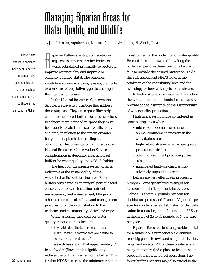### <span id="page-27-0"></span>Managing Riparian Areas for Water Quality and Wildlife

*by Jim Robinson, Agroforester, National Agroforestry Center, Ft. Worth, Texas*

Great Plains riparian woodlands have been reported to contain bird communities that are as much as seven times as rich as those in the surrounding Plains.

**Example 12 Separat** in the strips of vegetal adjacent to streams or other bodie water established principally to primprove water quality and improve or iparian buffers are strips of vegetation adjacent to streams or other bodies of water established principally to protect or enhance wildlife habitat. The principal vegetation is generally trees, grasses, and forbs or a mixture of vegetative types to accomplish the intended purposes.

In the Natural Resources Conservation Service, we have two practices that address these purposes. They are a grass filter strip and a riparian forest buffer. For these practices to achieve their intended purpose they must be properly located and sized (width, length, and area) in relation to the stream or water body and adapted to the existing site conditions. This presentation will discuss the Natural Resources Conservation Service considerations in designing riparian forest buffers for water quality and wildlife habitat.

The health of the stream system often is indicative of the sustainability of the watershed or its contributing area. Riparian buffers considered as an integral part of a total conservation system including nutrient management, pest management, tillage and other erosion control, habitat and management practices, provide a contribution to the resilience and sustainability of the landscape.

When assessing the needs for water quality the questions asked are:

- *how wide does the buffer need to be, and*
- *• what vegetative components are needed to achieve the desired results?*

Research has shown that approximately 35 feet of width (flow length) significantly reduces the pollutants entering the buffer. This is what NRCS has set as the minimum riparian forest buffer for the protection of water quality. Research has not answered how long the buffer can perform these functions before it fails to provide the desired protection. To do this risk assessment NRCS looks at the condition of the contributing area and the hydrology or how water gets to the stream.

In high risk areas for water contamination the width of the buffer should be increased to provide added assurance of the sustainability of water quality protection.

High risk areas might be considered as contributing areas where:

- intensive cropping is practiced;
- animal confinement areas are in the contributing area;
- high-valued streams exist where greater protection is desired;
- other high-sediment producing areas exist;
- anticipated land-use changes may adversely impact the stream.

Buffers are very effective in processing nitrogen. Some generalized averages for average annual nitrogen uptake by trees include: 1) about 60 pounds per acre for deciduous species, and 2) about 35 pounds per acre for conifer species. Estimates for denitrification in natural riparian forests in the U.S. are in the range of 25 to 35 pounds of N per acre per year.

Riparian forest buffers can provide habitat for a tremendous number of wild animals from big game, to owls and songbirds, turtles, frogs, and insects. All of these creatures and many more may find a place to feed, nest, or breed in the riparian forest ecosystem. The forest buffer's benefits may also extend to the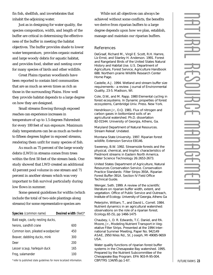fin fish, shellfish, and invertebrates that inhabit the adjoining water.

Just as in designing for water quality, the species composition, width, and length of the buffer are critical in determining the effectiveness of the buffer in meeting the habitat objectives. The buffer provides shade to lower water temperature, provides organic material and large woody debris for aquatic habitat, and provides food, shelter and nesting cover for many species of birds and other wildlife.

Great Plains riparian woodlands have been reported to contain bird communities that are as much as seven times as rich as those in the surrounding Plains. How well they provide habitat depends to a large degree on how they are designed.

Small streams flowing through exposed reaches can experience increases in temperature of up to 1.5 degrees Fahrenheit for every 100 feet of sun exposure. Maximum daily temperatures can be as much as twelve to fifteen degrees higher in exposed streams, rendering them unfit for many species of fish.

As much as 75 percent of the large woody debris (LWD) in streams comes from trees within the first 50 feet of the stream bank. One study showed that LWD created an additional 43 percent pool volume in one stream and 71 percent in another stream which was very important to fish survival particularly during low flows in summer.

Some general guidelines for widths (which include the total of two-side plantings along streams) for some representative species are:

| Species (common name)             | Desired width (feet)* |  |
|-----------------------------------|-----------------------|--|
| Bald eagle, cavity nesting ducks, |                       |  |
| herons, sandhill crane            | 600                   |  |
| Common loon, pileated woodpecker  | 450                   |  |
| Beaver, dabbling ducks, mink      | 300                   |  |
| Deer                              | 200                   |  |
| Lesser scaup, harlequin duck      | 165                   |  |
| Frog, salamander                  | 100                   |  |

*\*refer to published state guidelines for more localized information.*

While not all objectives can always be achieved without some conflicts, the benefits we derive from riparian buffers to a large degree depends upon how we plan, establish, manage and maintain our riparian buffers.

#### **References**

DeGraaf, Richard M., Virgil E. Scott, R.H. Hamre, Liz Ernst, and Stanley H. Anderson. 1991. Forest and Rangeland Birds of the United States Natural History and Habitat Use. U.S. Department of Agriculture, Forest Service, Agriculture Handbook 688. Northern prairie Wildlife Research Center Home Page.

Castelle, A.J. 1994. Wetland and stream buffer size requirements – a review. Journal of Environmental Quality, 23-5. Madison, WI.

Cole, D.W., and M. Rapp. 1980 Elemental cycling in forest ecosystems. In Dynamic properties of forest ecosystems, Cambridge Univ. Press. New York.

Hendrikson Jr., O.Q. 1981. Flux of nitrogen and carbon gases in bottomland soils of an agricultural watershed. Ph.D. dissertation 82-01544. University of Georgia, Athens, Ga.

Maryland Department of Natural Resources. Stream Releaf. Undated.

Montana State University. 1997. Riparian forest wildlife. Extension Service EB146.

Sweeney, B.W. 1992. Streamside forests and the physical, chemical, and trophic characteristics of Piedmont streams in Eastern North America. Water Science Technology 26:2653-2673.

United States Department of Agriculture, Natural Resources Conservation Service. Conservation Practice Standards: Filter Strips-393A, Riparian Forest Buffer-391A. Section IV Field Office Technical Guide.

Wenger, Seth. 1999. A review of the scientific literature on riparian buffer width, extent, and vegetation. Office of Public Service and Outreach, Institute of Ecology. University of Georgia, Athens Ga

Peterjohn, William, T., and David L. Correll. 1984. Nutrient dynamics in an agricultural watershed: observations on the role of a riparian forest. Ecology.65 (5), pp 1466-1475

Chaubey, I., D. R. Edwards, T.C. Daniel, and P.A. Moore, Jr., Modeling Nutrient Transport in Vegetative Filter Strips. Presented at the 1994 International Summer Meeting, Paper No. 942149 ASAE, 2950 Niles Rd., St. Joseph, MI 49085-9659 USA.

Water quality functions of riparian forest buffer systems in the Chesapeake Bay watershed. 1995. Prepared by the Nutrient Subcommittee of the Chesapeake Bay Program. EPA 903-R-95-004. CBP/TRS 134/95 pp.1-67.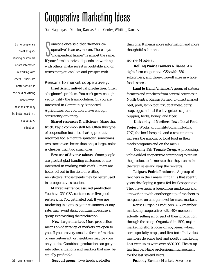### Cooperative Marketing Ideas

*Dan Nagengast, Director, Kansas Rural Center, Whiting, Kansas*

<span id="page-29-0"></span>Some people are great at gladhanding customers or are interested in working with chefs. Others are better off out in the field or writing new sletters. Those talents may be better used in a cooperative situation.

 $\begin{tabular}{l} One one once said that "farmers' co-\\ operator is an oxygen. These days\n\end{tabular} \end{tabular} \begin{tabular}{l} \hline \textbf{se days} \\ \hline \textbf{independent farmer} " is almost the same\n\end{tabular} \end{tabular}$ omeone once said that "farmers' cooperative" is an oxymoron. These days "independent farmer" is almost the same. with others, make sure it is profitable and on terms that you can live and prosper with.

#### Reasons to market cooperatively: **Insufficient individual production**. Often

a beginner's problem. You can't grow enough yet to justify the transportation. Or you are interested in Community Supported Agriculture, but you don't have enough consistency or variety.

**Shared resources & efficiency**. Share that truck. Pay a common stall fee. Often this type of cooperation includes sharing production resources too: a manure spreader; sometimes two tractors are better than one; a large cooler is cheaper than two small ones.

**Best use of diverse talents**. Some people are great at glad-handing customers or are interested in working with chefs. Others are better off out in the field or writing newsletters. Those talents may be better used in a cooperative situation.

**Market insurance: assured production**. You have 350 CSA customers or five good restaurants. You get hailed out. If you are marketing in a group, your customers, at any rate, may avoid disappointment because a group is providing the production.

**New, larger markets**. More production means a wider range of markets are open to you. If you are very small, a farmers' market, or one restaurant, or neighbors may be your only outlet. Combined production can get you into other situations and markets that may be equally profitable.

than one. It means more information and more thoughtful solutions.

#### Some Models:

**Rolling Prairie Farmers Alliance**. An eight-farm cooperative CSAwith 350 subscribers, and three drop-off sites in whole foods stores.

Land to Hand Alliance. A group of sixteen farmers and ranchers from several counties in North Central Kansas formed to direct market beef, pork, lamb, poultry, goat meat, dairy, soap, eggs, animal feed, vegetables, grain, puppies, herbs, honey, and fiber.

**University of Northern Iowa Local Food Project**. Works with institutions, including UNI, the local hospital, and a restaurant to increase the amount of local food in their meals programs and on the menu.

**County Fair Tomato Co-op**. A processing, value-added cooperative attempting to return the product to farmers so that they can make the retail sales and reap the rewards.

**Tallgrass Prairie Producers**. A group of ranchers in the Kansas Flint Hills that spent 5 years developing a grass-fed beef cooperative. They have taken a break from marketing and are working with another group of ranchers to reorganize on a larger level for mass markets.

Kansas Organic Producers. A 60-member marketing cooperative, with 40+ members actually selling all or part of their production through the co-op. Organized in 1992, major marketing efforts focus on soybeans, wheat, corn, specialty crops, and livestock. Individual members do some beef and poultry marketing. Last year, sales were over \$500,000. The co-op has had part-time professional management for the last several years.

**Peabody Farmers Market**. Seventeen

**Support group**. Two heads are better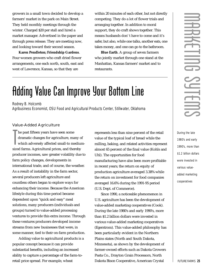<span id="page-30-0"></span>growers in a small town decided to develop a farmers' market in the park on Main Street. They held monthly meetings through the winter. Charged \$20 per stall and hired a market manager. Advertised in the paper and through press release. They are meeting now, and looking toward their second season.

**Karen Pendleton; Friendship Gardens**. Four women growers who craft dried flower arrangements, one each north, south, east and west of Lawrence, Kansas, so that they are

within 20 minutes of each other, but not directly competing. They do a lot of flower trials and arranging together. In addition to moral support, they do craft shows together. This means husbands don' t have to come and it's safer, but also, while one talks, another eats, one takes money, and one can go to the bathroom.

**Blue Earth**. A group of seven farmers who jointly market through one stand at the Manhattan, Kansas farmers' market and to restaurants.

### Adding Value Can Improve Your Bottom Line

*Rodney B. Holcomb*

*Agribusiness Economist, OSU Food and Agricultural Products Center, Stillwater, Oklahoma*

#### Value-Added Agriculture

The past fifteen years have seen some<br>dramatic changes for agriculture, many c<br>which adversely affected small-to mediu<br>sized farms. Agricultural prices, and thereby he past fifteen years have seen some dramatic changes for agriculture, many of which adversely affected small-to mediumproducer incomes, saw greater volatility due to farm policy changes, developments in international trade, and of course, the weather. As a result of instability in the farm sector, several producers left agriculture and countless others began to explore ways for enhancing their income. Because the American lifestyle during this time period became dependent upon "quick and easy" meal solutions, many producers (individuals and groups) turned to value-added processing ventures to provide this extra income. Through these ventures producers developed income streams from new businesses that were, in some manner, tied to their on-farm production.

Adding value to agricultural products is a popular concept because it can provide substantial benefits, including an increased ability to capture a percentage of the farm-toretail price spread. For example, wheat

represents less than nine percent of the retail value of the typical loaf of bread while the milling, baking, and related activities represent almost 65 percent of the final value (Kohls and Uhl). The opportunities for food manufacturing have also been more profitable in recent years; the return on equity of production agriculture averaged 3.38% while the return on investment for food companies averaged 16.6% during the 1991-95 period (U.S. Dept. of Commerce).

Since 1990, a noticeable phenomenon in U.S. agriculture has been the development of value-added marketing cooperatives (Cook). During the late 1980's and early 1990's, more than \$1.2 billion dollars were invested in various value-added marketing cooperatives (Egerstrom). This value-added philosophy has been particularly evident in the Northern Plains states (North and South Dakota, Minnesota), as shown by the development of farmer-owned efforts such as Dakota Growers Pasta Co., Drayton Grain Processors, North Dakota Bison Cooperative, American Crystal

During the late 1980's and early 1990's, more than \$1.2 billion dollars were invested in various valueadded marketing cooperatives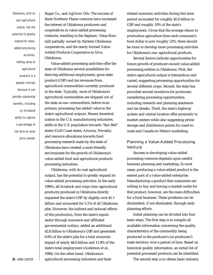Oklahoma, with its vast agricultural output, has the potential to greatly expand its valueadded processing activities. Adding value to agricultural products is a popular concept because it can provide substantial benefits, including an increased ability to capture a percentage of the farm-to-retail price spread.

Sugar Co., and AgGrow Oils. The success of these Northern Plains ventures have increased the interest of Oklahoma producers and cooperatives in value-added processing ventures, resulting in the Saginaw, Texas flour mill partially owned by thirteen Oklahoma cooperatives, and the newly formed Value-Added Products Cooperative in Alva, Oklahoma.

Value-added processing activities offer the state of Oklahoma several possibilities for deriving additional employment, gross state product (GSP) and tax revenues from agricultural commodities currently produced in the state. Typically, most of Oklahoma's agricultural commodities are shipped out of the state as raw commodities, before even primary processing has added value to the state's agricultural outputs. Recent decentralization in the U.S. manufacturing industries, shifts in the U.S. population towards "Sun Belt" states (Gulf Coast states, Arizona, Nevada), and resource allocations towards food processing research made by the state of Oklahoma have created a more friendly environment for the growth of Oklahoma's value-added food and agricultural products processing industries.

Oklahoma, with its vast agricultural output, has the potential to greatly expand its value-added processing activities. In the early 1990's, all livestock and crops (raw agricultural products) produced in Oklahoma directly impacted the state's GSP by slightly over \$1.1 billion and accounted for 5.1% of all Oklahoma jobs. However, the indirect and induced effects of this production, from the state's inputs sector through insurance and affiliated governmental outlays, added an additional \$2.8 billion to Oklahoma's GSP and generated 6.8% of the state's jobs for a total economic impact of nearly \$4.0 billion and 11.9% of the state's total employment (Anderson et al., 1994). On the other hand, Oklahoma's agricultural processing industries and their

related economic activities during this time period accounted for roughly \$1.6 billion in GSP and roughly 10% of the state's employment. Given that the average return to production agriculture from each consumer's food dollar is now roughly 22%, there should be room to develop more processing activities for Oklahoma's raw agricultural products.

Several factors indicate opportunities for future growth of producer-owned value-added processing entities in Oklahoma. First, the state's agricultural output is tremendous and varied, suggesting processing opportunities for several different crops. Second, the state has provided several incentives for producers considering processing opportunities, including research and planning assistance and tax breaks. Third, the state's highway system and central location offer proximity to market centers while also suggesting prime storage and distribution points for coast-tocoast and Canada-to-Mexico marketing.

#### Planning a Value-Added Processing **Venture**

Success in developing value-added processing ventures depends upon careful business planning and marketing. In most cases, producing a value-added product is the easiest part of a value-added enterprise. Manufacturing a product that consumers are willing to buy and having a market outlet for that product, however, are the main difficulties for a food business. These problems can be diminished, if not eliminated, through early planning efforts.

Initial planning can be divided into four basic steps. The first step is to compile all available information concerning the quality characteristics of the commodity being produced in the producer's (or producers') trade territory over a period of time. Based on historical quality information, an initial list of potential processed products can be identified.

The second step is to obtain basic industry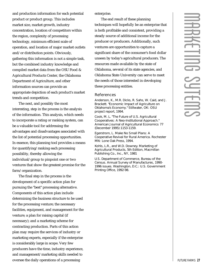and production information for each potential product or product group. This includes market size, market growth, industry concentration, location of competitors within the region, complexity of processing technology, minimum efficient scale of operation, and location of major market outlets and/or distribution points. Obviously, gathering this information is not a simple task, but the combined industry knowledge and compiled market data from the OSU Food & Agricultural Products Center, the Oklahoma Department of Agriculture, and other information sources can provide an appropriate depiction of each product's market trends and competition.

The next, and possibly the most interesting, step in the process is the analysis of the information. This analysis, which needs to incorporate a rating or ranking system, can be a valuable tool for addressing the advantages and disadvantages associated with the list of potential processing opportunities. In essence, this planning tool provides a means for quantifying/ranking each processing possibility, thereby allowing the individual/group to pinpoint one or two ventures that show the greatest promise for the farm/organization.

The final step in the process is the development of a specific action plan for pursuing the "best" processing alternative. Components of this action plan include determining the business structure to be used for the processing venture; the necessary facilities, equipment, and management for the venture; a plan for raising capital (if necessary); and a marketing scheme for contracting production. Parts of this action plan may require the services of industry or marketing experts, especially if the enterprise is considerably large in scope. Very few producers have the time, industry experience, and management/marketing skills needed to oversee the daily operations of a processing

enterprise.

The end result of these planning techniques will hopefully be an enterprise that is both profitable and consistent, providing a steady source of additional income for the producer or producers. Additionally, such ventures are opportunities to capture a significant share of the consumer's food dollar unseen by today's agricultural producers. The resources made available by the state of Oklahoma, several of its state agencies, and Oklahoma State University can serve to meet the needs of those interested in developing these processing entities.

#### **References**

Anderson, K., M.R. Dicks, R. Sahs, W. Caid, and J. Brackett. "Economic Impact of Agriculture on Oklahoma's Economy." Stillwater, OK: OSU project report, 1994.

Cook, M. L. "The Future of U.S. Agricultural Cooperatives: A Neo-Institutional Approach." *American Journal of Agricultural Economics* 77 (December 1995):1153-1159.

Egerstrom, L. *Make No Small Plans: A Cooperative Revival for Rural America*. Rochester MN: Lone Oak Press, 1994.

Kohls, L.R., and W.D. Downey. *Marketing of Agricultural Products*, 5th Edition, Macmillan Publishing Co., Inc., NY, 1981

U.S. Department of Commerce, Bureau of the Census. *Annual Survey of Manufactures*, 1990- 1996 issues. Washington, D.C.: U.S. Government Printing Office, 1992-98.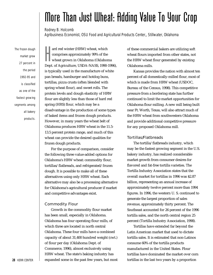### <span id="page-33-0"></span>More Than Just Wheat: Adding Value To Your Crop

*Rodney B. Holcomb*

*Agribusiness Economist, OSU Food and Agricultural Products Center,, Stillwater, Oklahoma*

The frozen dough market grew 27 percent in the period 1992-95 and is classified as one of the fastest growing segments among all bakery products.

ard red winter (HRW) wheat, which<br>comprises approximately 99% of the<br>wheat grown in Oklahoma (Oklahoma<br>Dept. of Agriculture, USDA-NASS, 1990-1996), ard red winter (HRW) wheat, which comprises approximately 99% of the wheat grown in Oklahoma (Oklahoma is typically used in the manufacture of white pan breads, hamburger and hotdog buns, tortillas, pizza crusts (often blended with spring wheat flour), and sweet rolls. The protein levels and dough elasticity of HRW flour are slightly less than those of hard red spring (HRS) flour, which may be a disadvantage in the production of some types of baked items and frozen dough products. However, in many years the wheat belt of Oklahoma produces HRW wheat in the 11.5- 13.5 percent protein range, and much of this wheat can provide the desired qualities for frozen dough products.

For the purpose of comparison, consider the following three value-added options for Oklahoma's HRW wheat: commodity flour, tortillas/flatbreads, and refrigerated/frozen dough. It is possible to make all of these alternatives using only HRW wheat. Each alternative may also be a processing alternative for Oklahoma's agricultural producer if market and competitive advantages exist.

#### Commodity Flour

Growth in the commodity flour market has been small, especially in Oklahoma. Oklahoma has four operating flour mills, of which three are located in north central Oklahoma. These four mills have a combined capacity of about 31,400 hundred weight (cwt.) of flour per day (Oklahoma Dept. of Commerce, 1996), almost exclusively using HRW wheat. The state's baking industry has expanded some in the past few years, but most of these commercial bakers are utilizing soft wheat flours imported from other states, not the HRW wheat flour generated by existing Oklahoma mills.

Kansas provides the nation with almost ten percent of all domestically-milled flour, most of which is made from HRW wheat (USDOC, Bureau of the Census, 1998). This competitive pressure from a bordering state has further continued to limit the market opportunities for Oklahoma flour milling. Anew mill being built near Ft. Worth, Texas, will also attract much of the HRW wheat from southwestern Oklahoma and provide additional competitive pressure for any proposed Oklahoma mill.

#### **Tortillas/Flatbreads**

The tortilla/flatbreads industry, which may be the fastest growing segment in the U.S. bakery industry, has realized considerable market growth from consumer desires for flavored and fat-free tortilla varieties. The Tortilla Industry Association states that the overall market for tortillas in 1996 was \$2.87 billion, representing an annual increase of approximately twelve percent more than 1994 figures. In 1996, the western U. S. continued to generate the largest proportion of sales revenue, approximately thirty percent. The Southeast accounted for 26 percent of the 1996 tortilla sales, and the north central region 25 percent (Tortilla Industry Association, 1998).

Tortillas have extended far beyond the Latin American market that used to dictate tortilla sales. It is estimated that non-Latinos consume 60% of the tortilla products manufactured in the United States. Flour tortillas have dominated the market over corn tortillas in the last two years by a proportion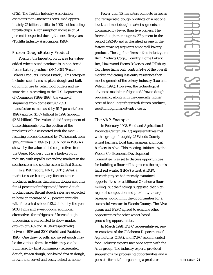of 2:1. The Tortilla Industry Association estimates that Americans consumed approximately 75 billion tortillas in 1998, not including tortilla chips. A consumption increase of 54 percent is expected during the next five years (Tortilla Industry Association, 1998).

#### Frozen Dough/Bakery Product

Possibly the largest growth area for valueadded wheat-based products is in non-bread frozen bakery products (SIC 2053 "Frozen Bakery Products, Except Bread"). This category includes such items as pizza dough and bulk dough for use by retail food outlets and instore delis. According to the U.S. Department of Commerce (1992-1998), the value of shipments from domestic SIC 2053 manufacturers increased by 51.7 percent from 1992 (approx. \$1.67 billion) to 1996 (approx. \$2.54 billion). The "value-added" component of those shipments (i.e., the portion of the product's value associated with the manufacturing process) increased by 47.3 percent, from \$919.2 million in 1992 to \$1.35 billion in 1996. As shown by the value-added cooperatives from the Upper Midwest, this is a high-growth industry with rapidly expanding markets in the southeastern and southwestern United States.

In a 1997 report, FIND/SVP (1997a), a market research company for consumer products, indicates that biscuit dough accounts for 41 percent of refrigerated/frozen dough product sales. Biscuit dough sales are expected to have an increase of 6.5 percent annually, with forecasted sales of \$2.2 billion by the year 2000. Rolls and sweet goods, additional alternatives for refrigerated/frozen dough processing, are predicted to show market growth of 9.6% and 16.8% (respectively) between 1993 and 2000 (Faridi and Faubion, 1995). One draw of rolls and sweet goods may be the various forms in which they can be purchased by final consumers (refrigerated dough, frozen dough, par-baked frozen dough, brown-and-serve) and easily baked at home.

Fewer than 15 marketers compete in frozen and refrigerated dough products on a national level, and most dough market segments are dominated by fewer than five players. The frozen dough market grew 27 percent in the period 1992-95 and is classified as one of the fastest-growing segments among all bakery p roducts. The top four firms in this industry are Rich Products Corp., Country Home Bakery, Inc., Hazewood Farms Bakeries, and Pillsbury Co. These firms only control 24% of the overall market, indicating less entry resistance than most segments of the bakery industry (Lou and Wilson, 1998). However, the technological advances made in refrigerated/frozen dough processing, along with the generally higher costs of handling refrigerated/frozen products, result in high market-entry costs.

#### The VAP Example

In February 1998, Food and Agricultural Products Center (FAPC) representatives met with a group of roughly 25 Woods County wheat farmers, local businessmen, and local bankers in Alva. This meeting, initiated by the Woods Co. Economic Development Committee, was set to discuss opportunities for building a flour mill to process the region's hard red winter (HRW) wheat. A FAPC research project had recently examined opportunities for additional Oklahoma flour milling, but the findings suggested that high regional competition and proximity to large bakeries would limit the opportunities for a successful venture in Woods County. The Alva group and FAPC agreed to examine other opportunities for other wheat-based processing opportunities.

In March 1998, FAPC representatives, representatives of the Oklahoma Department of Agriculture (ODA), and FAPC-recommended food industry experts met once again with the Alva group. The industry experts provided suggestions for processing opportunities and a possible format for organizing a producer-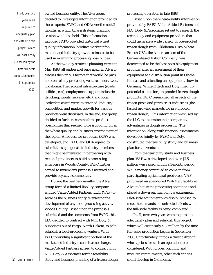In all, over two years were required to adequately plan and establish this project, which will cost nearly \$17 million by the time full-scale production begins in September 2000.

owned business entity. The Alva group decided to investigate information provided by these experts, FAPC, and ODAover the next 2 months, at which time a strategic planning session would be held. This information included FAPC-provided historical wheat quality information, product market information, and industry growth estimates to be used in examining processing possibilities.

At the two-day strategic planning retreat in May 1998, all parties met once again in Alva to discuss the various factors that would be pros and cons of any processing venture in northwest Oklahoma. The regional infrastructure (roads, utilities, etc.), employment, support industries (trucking, inputs, services, etc.), and local leadership assets were inventoried. Industry competition and market growth for various products were discussed. In the end, the group decided to further examine three product possibilities that seemed to be a good fit, given the wheat quality and business environment of the region. A request for proposals (RFP) was developed, and FAPC and ODA agreed to submit these proposals to industry members that might be interested in partnering with regional producers to build a processing enterprise in Woods County. FAPC further agreed to review any proposals received and provide objective commentary.

During the next few months, the Alva group formed a limited liability company entitled Value Added Partners, LLC, (VAP) to serve as the business entity overseeing the development of any food processing activity in Woods County. Based upon the proposals submitted and the comments from FAPC, this LLC decided to contract with N.C. Doty & Associates out of Fargo, North Dakota, to help establish a food-processing venture. With FAPC providing a significant portion of the market and industry research at no charge, Value Added Partners agreed to contract with N.C. Doty & Associates for the feasibility **30** KERR CENTER **Study and business planning of a frozen dough**  processing operation in late 1998.

Based upon the wheat-quality information provided by FAPC, Value Added Partners and N.C. Doty & Associates set out to research the technology and equipment providers that could generate a wide variety of pre-proofed frozen dough from Oklahoma HRW wheat. Fritsch USA, the American arm of the German-based Fritsch Company, was determined to be the best possible equipment provider after an assessment of their equipment at a distribution point in Olathe, Kansas, and attending an equipment show in Germany. While Fritsch and Doty lined up potential clients for pre-proofed frozen dough products, FAPC researched all aspects of the frozen pizza and pizza crust industries (the fastest growing markets for pre-proofed frozen dough). This information was used by the LLC to determine their comparative advantages in dough processing. The information, along with financial assessments developed jointly by FAPC and Doty, constituted the feasibility study and business plan for the venture.

From the feasibility study and business plan, VAPwas developed and over \$7.5 million was raised within a 3-month period. While money continued to come in from participating agricultural producers, VAP purchased an abandoned Wal-Mart facility in Alva to house the processing operations and placed a down payment on the equipment. Pilot-scale equipment was also purchased to meet the demands of contracted clients while the full-scale facility is being completed.

In all, over two years were required to adequately plan and establish this project, which will cost nearly \$17 million by the time full-scale production begins in September 2000. Unfortunately, it took a drastic drop in wheat prices for such an operation to be considered. With proper planning and resource commitments, other such entities could develop in Oklahoma.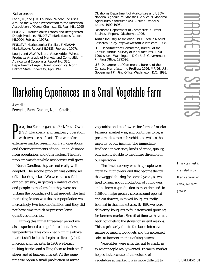#### <span id="page-36-0"></span>**References**

Faridi, H., and J.M. Faubion. "Wheat End Uses Around the World." Presentation to the American Association of Cereal Chemists, St. Paul, MN, 1995.

FIND/SVP. *MarketLooks: Frozen and Refrigerated Dough Products.* FIND/SVP MarketLooks Report ML0004, February 1997a.

FIND/SVP. *MarketLooks: Tortillas*. FIND/SVP MarketLooks Report ML0183, February 1997c.

Lou, J. and W.W. Wilson. "Value-Added Wheat Products: Analysis of Markets and Competition." Ag.ricultural Economics Report No. 386, Department of Agricultural Economics, North Dakota State University, April 1998.

Oklahoma Department of Agriculture and USDA National Agricultural Statistics Service, "Oklahoma Agricultural Statistics," USDA-NASS, various issues (1990-1996).

Oklahoma Department of Commerce, "Current Business Report," Oklahoma, 1996.

Tortilla Industry Association. *1996 Tortilla Market Research Study*. http://www.tortilla-info.com, 1998.

U.S. Department of Commerce, Bureau of the Census. *Annual Survey of Manufactures*, 1990- 1996 issues. Washington, D.C.: U.S. Government Printing Office, 1992-98.

U.S. Department of Commerce, Bureau of the Census. *Manufacturing Profiles: 1996*, MP/96, U.S. Government Printing Office, Washington, D.C., 1998.

### Marketing Experiences on a Small Vegetable Farm

*Alex Hitt Peregrine Farm, Graham, North Carolina*

Peregrine Farm began as a Pick-Your-Own<br>(PYO) blackberry and raspberry operation<br>with two acres of each. This was after<br>extensive market research on PYO operations eregrine Farm began as a Pick-Your-Own (PYO) blackberry and raspberry operation, with two acres of each. This was after and their requirements of population, distance from population, and other factors. The first problem was that while raspberries will grow in North Carolina, they are not really well adapted. The second problem was getting all of the berries picked. We were successful in our advertising, in getting numbers of cars, and people to the farm, but they were not picking the poundage of fruit needed. The first marketing lesson was that our population was increasingly two-income families, and they did not have time to pick or preserve large quantities of berries.

During this initial three-year period we also experienced a crop failure due to low temperatures. This combined with the above market shift led us to begin to diversify both in crops and markets. In 1986 we began picking berries and selling them to both small stores and at farmers' market. At the same time we began a small production of mixed

vegetables and cut flowers for farmers' market. Farmers' market was, and continues to be, a great market research vehicle, as well as the majority of our income. The immediate feedback on varieties, kinds of crops, quality, etc., are invaluable to the future direction of our operation.

The first discovery was that people were crazy for cut flowers, and that became the tail that wagged the dog for several years, as we tried to learn about production of cut flowers and to increase production to meet demand. In 1988 our major grocery store account opened and cut flowers, in mixed bouquets, really boomed in that market also. By 1992 we were delivering bouquets to four stores and growing for farmers' market. Since that time we have cut back bouquets to the stores for several reasons. This is primarily due to the labor-intensive nature of making bouquets and the increased sales at farmers' market of single stems.

Vegetables were a harder nut to crack, as to what people really wanted. Farmers' market helped but because of the volume of vegetables at market it was more difficult to

If they can't eat it in a salad or on their ice cream or cereal, we don't grow it!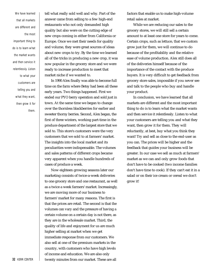We have learned that all markets are different and the most important thing to do is to learn what the market wants and then service it relentlessly. Listen to what your customers are telling you and what they want, then grow it for them.

tell what really sold well and why. Part of the answer came from selling to a few high-end restaurants who not only demanded high quality but also were on the cutting edge of new crops coming in either from California or Europe. Once we met their needs for quality and volume, they were great sources of ideas about new crops to try. By the time we learned all of the tricks in producing a new crop, it was now popular in the grocery store and we were ready to increase production to meet that market niche if we wanted to.

In 1990 Alex finally was able to become full time on the farm where Betsy had been all these early years. Two things happened. First we ended our PYO berry operation and sold just in town. At the same time we began to change over the thornless blackberries for earlier and sweeter thorny berries. Second, Alex began, the first of three winters, working part-time in the p roduce department of the largest store that we sold to. This store's customers were the very customers that we sold to at farmers' market. The insights into the local market and its peculiarities were indispensable. The volumes and sales patterns of different crops became very apparent when you handle hundreds of cases of produce a week.

Now eighteen growing seasons later our marketing consists of twice-a-week deliveries to one grocery store and one restaurant, as well as a twice a week farmers' market. Increasingly, we are moving more of our business to farmers' market for many reasons. The first is that the prices are retail. The second is that the volumes can vary and the pressure of having a certain volume on a certain day is not there, as they are in the wholesale market. Third, the quality of life and enjoyment for us are much higher selling at market when we get immediate response from our customers. We also sell at one of the premium markets in the country, with customers who have high levels of income and education. We are also only twenty minutes from our market. These are all

factors that enable us to make high-volume retail sales at market.

While we are reducing our sales to the grocery stores, we will still sell a certain amount to at least one store for years to come. Certain crops, such as lettuce, that we custom grow just for them, we will continue to do because of the profitability and the relative ease of volume production. Alex still does all of the deliveries himself because of the importance of the contact with the produce buyers. It is very difficult to get feedback from grocery store sales, impossible if you never see and talk to the people who buy and handle your product.

In conclusion, we have learned that all markets are different and the most important thing to do is to learn what the market wants and then service it relentlessly. Listen to what your customers are telling you and what they want, then grow it for them. They will reluctantly, at best, buy what you think they want! Try and sell as close to the end-user as you can. The prices will be higher and the feedback that guides your business will be greater. In our case we sell as much at farmers' market as we can and only grow foods that don't have to be cooked (two income families don't have time to cook). If they can't eat it in a salad or on their ice cream or cereal we don't grow it!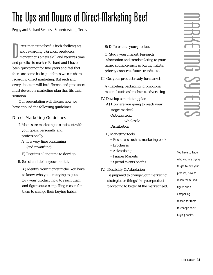### <span id="page-38-0"></span>The Ups and Downs of Direct-Marketing Beef

*Peggy and Richard Sechrist, Fredericksburg, Texas*

 $\begin{tabular}{|l|} \hline \textbf{irect} - marketing beef is both challenging and rewarding. For most producers, marketing is a new skill and requires and practice to master. Richard and I have the same performance of the system. The system is a new skill and requires a new task. The system is the same task for the system is the same task.} \end{tabular}$ irect-marketing beef is both challenging and rewarding. For most producers, marketing is a new skill and requires time been "practicing" for five years and feel that there are some basic guidelines we can share regarding direct marketing. But each and every situation will be different, and producers must develop a marketing plan that fits their situation.

Our presentation will discuss how we have applied the following guidelines.

#### **Direct-Marketing Guidelines**

- I. Make sure marketing is consistent with your goals, personally and professionally.
	- A) It is very time consuming (and rewarding)
	- B) Requires a long time to develop
- II. Select and define your market

A) Identify your market niche. You have to know who you are trying to get to buy your product, how to reach them, and figure out a compelling reason for them to change their buying habits.

B) Differentiate your product

C) Study your market. Research information and trends relating to your target audience such as buying habits, priority concerns, future trends, etc.

III. Get your product ready for market

A) Labeling, packaging, promotional material such as brochures, advertising

IV. Develop a marketing plan

A) How are you going to reach your target market? Options: retail wholesale

Distribution

- B) Marketing tools:
	- Resources such as marketing book
	- Brochures
	- Advertising
	- Farmer Markets
	- Special events booths
- IV. Flexibility & Adaptation Be prepared to change your marketing strategies or things like your product packaging to better fit the market need.

You have to know who you are trying to get to buy your product, how to reach them, and figure out a compelling reason for them to change their buying habits.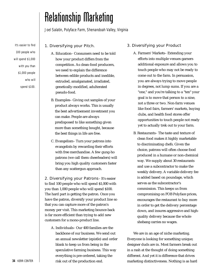### <span id="page-39-0"></span>Relationship Marketing

*Joel Salatin, Polyface Farm, Shenandoah Valley, Virginia*

1. Diversifying your Pitch.

- A. Education– Consumers need to be told how your product differs from the competition. As clean-food producers, we need to explain the difference between edible products and inedible, extruded, amalgamated, irradiated, genetically-modified, adulterated pseudo-food.
- B. Examples– Giving out samples of your product always works. This is usually the best advertisement investment you can make. People are always predisposed to like something given more than something bought, because the best things in life are free.
- C. Evangelism– Turn your patrons into evangelists by rewarding their efforts with free merchandise. A few gung-ho patrons (we call them cheerleaders) will bring you high quality customers faster than any scattergun approach.

2. Diversifying your Patrons-It's easier to find 100 people who will spend \$1,000 with you than 1,000 people who will spend \$100. The hard part is getting the patron. Once you have the patron, diversify your product line so that you can capture more of the patron's money per visit. This marketing bounce-back is far more efficient than trying to add new customers for a mono-product line.

A. Individuals– Our 400 families are the backbone of our business. We send out an annual newsletter (epistle) and order blank to keep us from being in the speculative farming business. This way everything is pre-ordered, taking the risk out of the production end.

#### 3. Diversifying your Product

- A. Farmers' Markets– Extending your efforts into multiple venues garners additional exposure and allows you to touch people who may not be ready to come out to the farm. In persuasion, you are always trying to move people in degrees, not lump sums. If you are a "one," and you're talking to a "ten" your goal is to move that person to a nine, not a three or two. Non-farm venues like food fairs, farmers' markets, buying clubs, and health food stores offer opportunities to touch people not ready yet to actually trek out to your farm.
- B. Restaurants– The taste and texture of clean food makes it highly marketable to discriminating chefs. Given the choice, patrons will often choose food produced in a humane or non-chemical way. We supply about 30 restaurants and use a subcontractor to make the weekly delivery. A variable delivery fee is added based on poundage, which serves as the subcontractor's commission. This keeps us from compromising on FOB Polyface prices, encourages the restaurant to buy more in order to get the delivery percentage down, and insures aggressive and highquality delivery because the whole shebang carries no wages.

We are in an age of niche marketing. Everyone is looking for something unique; designer duds are in. Most farmers break out in a rash at the thought of doing something different. And yet it is difference that drives **34** KERR CENTER **interpretted in the state of the production end. The marketing distinctiveness. Nothing is as hard** 

It's easier to find 100 people who will spend \$1,000 with you than \$1,000 people who will spend \$100.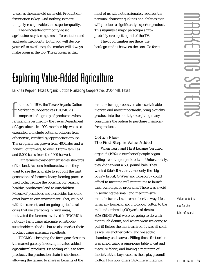<span id="page-40-0"></span>to sell as the same old same old. Product differentiation is key. And nothing is more uniquely recognizable than superior quality.

The wholesale-commodity-based agribusiness system spurns differentiation and applauds mediocrity. But if you will devote yourself to excellence, the market will always make room at the top. The problem is that

most of us will not passionately address the personal character qualities and abilities that will produce a significantly superior product. This requires a major paradigm shift- probably even getting rid of the TV.

The opportunities are there; the battleground is between the ears. Go for it.

### Exploring Value-Added Agriculture

*La Rhea Pepper, Texas Organic Cotton Marketing Cooperative, O'Donnell, Texas*

Founded in 1993, the Texas Organic Cotton<br>Marketing Cooperative (TOCMC) is<br>comprised of a group of producers whose<br>farmland is certified by the Texas Department ounded in 1993, the Texas Organic Cotton Marketing Cooperative (TOCMC) is comprised of a group of producers whose of Agriculture. In 1999, membership was also expanded to include cotton producers from other areas, certified by appropriate groups. The program has grown from 400 bales and a handful of farmers, to over 30 farm families and 5,000 bales from the 1999 harvest.

Our farmers consider themselves stewards of the land. As conscientious stewards they want to see the land able to support the next generations of farmers. Many farming practices used today reduce the potential for passing healthy, productive land to our children. Misuse of pesticides and herbicides has done great harm to our environment. That, coupled with the current, and on-going agricultural crisis that we are facing in rural areas, motivated the farmers involved in TOCMC to not only farm using alternative methods– sustainable methods– but to also market their product using alternative methods.

TOCMC is bringing the farm gate closer to the market gate by investing in value-added agricultural products. By adding value to farm products, the production chain is shortened, allowing the farmer to share in benefits of the

manufacturing process, create a sustainable market, and most importantly, bring a quality product into the marketplace giving many consumers the option to purchase chemicalfree products.

#### Cotton Plus– The First Step in Value-Added

When Terry and I first became "certified organic" (1992), a number of people began calling– wanting organic cotton. Unfortunately, they didn't want a 500 pound bale. They wanted fabric!! At that time, only the "big boys"– Esprit, O'Wear and Ecosport – could afford to meet the mill minimums to launch their own organic programs. There was a void in servicing the small and medium-size manufacturers. I still remember the way I felt when my husband and I took our cotton to the mill and ordered 4,000 yards of denim. SCARED!!! What were we going to do with that much denim, and where were we going to put it! Before the fabric arrived, it was all sold, as well as another batch, and we added chambray and canvas. Filling those first orders was a riot, using a ping-pong table to cut and measure fabric, and having a mountain of fabric that the boys used as their playground! Cotton Plus now offers 140 different fabrics,

Value-added is not for the faint of heart!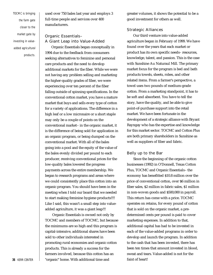TOCMC is bringing the farm gate closer to the market gate by investing in valueadded agricultural products.

used over 750 bales last year and employs 3 full-time people and services over 400 manufacturers.

#### Organic Essentials– A Giant Leap into Value-Added

Organic Essentials began conceptually in 1994 due to the feedback from consumers seeking alternatives to feminine and personal care products and the need to develop additional markets for the fiber. While we were not having any problem selling and marketing the higher-quality grades of fiber, we were experiencing over ten percent of the fiber falling outside of spinning specifications. In the conventional cotton market, you have a mature market that buys and sells every type of cotton for a variety of applications. The difference in a high leaf or a low micronaire or a short staple may only be a couple of points on the conventional market– in the organic market, it is the difference of being sold for application in an organic program, or being dumped on the conventional market. With all of the bales going into a pool and the equity of the value of the bales evenly divided per pound to each producer, receiving conventional prices for the low-quality bales lowered the progress payments across the entire membership. We began to research programs and areas where we could consistently place this cotton into an organic program. You should have been in the meeting when I told our board that we needed to start making feminine hygiene products!!!! Like I said, this wasn't a small step into valueadded agriculture, it was a giant leap!!!

Organic Essentials is owned not only by TOCMC and members of TOCMC, but because the minimums are so high and this program is capital-intensive, additional shares have been sold to other individuals interested in promoting rural economies and organic cotton products. This is already a success for the farmers involved, because this cotton has an "organic" home. With additional time and

greater volumes, it shows the potential to be a good investment for others as well.

#### Strategic Alliances

Our third venture into value-added agriculture began in February of 1999. We have found over the years that each market or product has its own specific needs- resources, knowledge, talent, and passion. This is the case with Sunshine Au Naturaul Mill. The primary market focus for the program is bed and bath products towels, sheets, robes, and other related items. From a farmer's perspective, a towel uses two pounds of medium-grade cotton. From a marketing standpoint, it has to be soft and absorbent. You have to tell the story, have the quality, and be able to give point-of-purchase support into the retail market. We have been fortunate in the development of a strategic alliance with Bryant Rayngay who has the expertise and knowledge for this market sector. TOCMC and Cotton Plus are both primary shareholders in Sunshine as well as suppliers of fiber and fabric.

#### Belly up to the Bar

Since the beginning of the organic cotton businesses (1992) in O'Donnell, Texas Cotton Plus, TOCMC and Organic Essentials– the economy has benefitted \$10.8 million over the price of conventional cotton, over \$6 million in fiber sales, \$2 million in fabric sales, \$1 million in non-woven goods and \$500,000 in payroll. This return has come with a price. TOCMC operates on retains, for every pound of cotton that is sold on the organic market, a predetermined cents per pound is paid to cover marketing expenses. In addition to that, additional capital has had to be invested in each of the value-added programs in order to develop and launch the program. In addition to the cash that has been invested, there has been ten times that amount invested in blood, sweat and tears. Value-added is not for the faint of heart!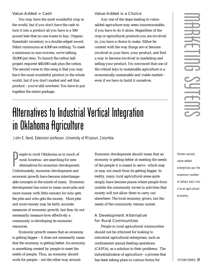#### <span id="page-42-0"></span>Value-Added  $=$  Cash

You may have the most wonderful crop in the world, but if you don't have the cash to turn it into a product all you have is a 500 pound bale that no one wants to buy. Organic Essentials' inventory is a double-edged sword. Fabric minimums at 4,000 are nothing. To meet a minimum in non-wovens, we're talking 50,000 per item. To launch the cotton ball project required \$40,000 cash plus the cotton. The second verse to this song is that you may have the most wonderful product in the whole world, but if you don't market and sell that product – you're still nowhere. You have to put together the entire package.

#### Value-Added is a Choice

Any one of the steps leading to valueadded agriculture may seem insurmountable, if you have to do it alone. Regardless of the crop or agricultural products you are involved in, you have a choice to make. Either be content with the way things are or become involved in your farm, your product, and find a way to become involved in marketing and selling your product. I'm convinced that one of the critical keys to sustainable agriculture is a economically-sustainable and viable market – even if we have to build it ourselves.

### Alternatives to Industrial Vertical Integration in Oklahoma Agriculture

*John E. Ikerd, Extension professor, University of Missouri, Columbia*

People in rural Oklahoma as in much of<br>
rural America– are searching for new<br>
alternatives for economic development<br>
Unfortunately, economic development and eople in rural Oklahoma as in much of rural America– are searching for new alternatives for economic development. economic growth have become interchangeable concepts in the minds of many. Economic development has come to mean more jobs and more money with little concern for who gets the jobs and who gets the money. More jobs and more money may be fairly accurate measures of economic growth, but they do not necessarily measure how effectively a community is developing its economic resources.

Economic growth means that an economy is getting bigger – it does not necessarily mean that the economy is getting better. An economy is something created by people to meet the needs of people. Thus, an economy should work for people – not the other way around.

Economic development should mean that an economy is getting better at meeting the needs of the people it is meant to serve– which may or may not result from its getting bigger. In reality, many rural agricultural areas quite simply have become places where people from outside the community invest in activities that society will not allow them to carry out elsewhere. The local economy grows, but the needs of the community remain unmet.

#### A Development Alternative for Rural Communities

People in rural agricultural communities should not be criticized for looking to industrial agricultural enterprises, such as confinement animal feeding operations (CAFOs), as a solution to their problems. The industrialization of agriculture– a process that has been taking place in various forms for

Farmer-owned, value-added enterprises put the maximum number of dollars back into a local agricultural economy.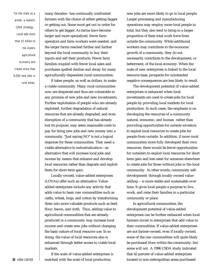For the state as a whole, a realistic LOVA strategy... could add more than \$1 billion to the state's agricultural economy and create more than 8,000 new jobs in rural areas.

many decades– has continually confronted farmers with the choice of either getting bigger or getting out. Some must get out in order for others to get bigger. As farms have become larger and more specialized, fewer farm operators and farm workers were needed, and the larger farms reached farther and farther beyond the local community to buy their inputs and sell their products. Fewer farm families coupled with fewer local sales and purchases spelled decline and decay for many agriculturally-dependent rural communities.

It takes people, as well as dollars, to make a viable community. Many rural communities now are desperate and thus are vulnerable to any promise of new jobs and new investments. Further exploitation of people who are already exploited, further degradation of natural resources that are already degraded, and even disruption of a community that has already lost its purpose, may seem reasonable costs to pay for bring new jobs and new money into a community. "Just saying NO" is not a logical response for these communities. They need a viable alternative to industrialization– an alternative that will increase local jobs and income by means that enhance and develop local resources rather than degrade and exploit them for short-term gain.

Locally-owned, value-added enterprises (LOVAs) offer such an alternative. Valueadded enterprises include any activity that adds value to basic raw commodities such as cattle, wheat, hogs, and cotton by transforming them into more valuable products such as beef, flour, bacon, and cloth. Thus, adding value to agricultural commodities that are already produced in a community may increase local income and create new jobs without changing the basic nature of local resource use. In so doing, the value of local resources also is enhanced through better access to viable local markets.

If the scale of value-added enterprises is matched with the scale of local production,

new jobs are more likely to go to local people. Larger processing and manufacturing operations may employ more local people in total, but they also tend to bring in a larger proportion of their total work force from outside the community. While additional workers may contribute to the economic growth of a community, they do not necessarily contribute to the development, or betterment, of the local economy. When the scale of new enterprises is linked to the local resource base, prospects for unintended negative consequences are less likely to result.

The development potential of value-added enterprises is enhanced when local investments are used to create jobs for local people by providing local markets for local production. In such cases, the emphasis is on developing the resources of a community natural, economic, and human rather than providing opportunities for outside investors to exploit local resources to create jobs for people from outside. In addition, if more rural communities more fully developed their own resources, there would be fewer opportunities for outsiders to exploit local resources for short term gain and less need for someone elsewhere to create jobs for those without jobs in the local community. In other words, community selfdevelopment through locally-owned valueadding -- is more stable and sustainable over time. It gives local people a purpose to live, work, and raise their families in a particular community or place.

In agricultural communities, the development potential of value-added enterprises can be further enhanced when local farmers invest in enterprises that add value to their commodities. If value-added enterprises are not farmer-owned, even if locally-owned, some of the raw commodities will quite likely be purchased from within the community, but some will not. A 1996 USDA study indicated that 42 percent of value-added enterprises located in non-metropolitan areas purchased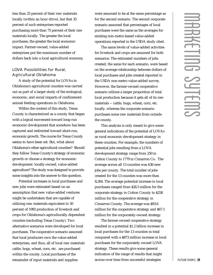less than 25 percent of their raw materials locally (within an hour drive), but that 35 percent of such enterprises reported purchasing more than 75 percent of their raw materials locally. The greater the local purchases, the greater the local economic impact. Farmer-owned, value-added enterprises put the maximum number of dollars back into a local agricultural economy.

#### LOVA Possibilities for Rural, Agricultural Oklahoma

A study of the potential for LOVAs in Oklahoma's agricultural counties was carried out as part of a larger study of the ecological, economic, and social impacts of confinement animal feeding operations in Oklahoma.

Within the context of this study, Texas County is characterized as a county that began with a logical movement toward long-run economic development that somehow has been captured and redirected toward short-run, economic growth. The course for Texas County seems to have been set. But, what about Oklahoma's other agricultural counties? Should they follow Texas County's strategy of economic growth or choose a strategy for economic development locally-owned, value-added agriculture? The study was designed to provide some insights into the answer to this question.

Potential increases in local purchases and new jobs were estimated based on an assumption that new value-added ventures might be undertaken that are capable of utilizing raw materials equivalent to 50 percent of 1992 production of livestock and crops for Oklahoma's agriculturally dependent counties (excluding Texas County). Two alternative scenarios were developed for local purchases. The cooperative scenario assumed that local producers own the value-added enterprises, and thus, all of local raw materials cattle, hogs, wheat, corn, etc. are purchased within the county. Local purchases of the remainder of input materials and supplies

were assumed to be at the same percentage as for the second scenario. The second corporate scenario assumed that percentages of local purchases were the same as the averages for existing non-metro-based value-added operations reported in the USDA study cited.

The same levels of value-added activities for livestock and crops are assumed for both scenarios. The estimated numbers of jobs created, the same for each scenario, were based on the average relationship between dollars of local purchases and jobs created reported in the USDA non-metro value-added survey. However, the farmer-owned cooperative scenario utilizes a larger proportion of total local production because it gets all of its raw materials -- cattle, hogs, wheat, corn, etc. locally, whereas the corporate scenario purchases some raw materials from outside the county.

This analysis is only meant to give some general indications of the potential of LOVAs as rural economic development strategy in these counties. For example, the numbers of potential jobs resulting from a LOVA development strategy range from 250 in Cotton County to 1779 in Cimarron Co. The average across all 13 counties was 636 new jobs per county. The total number of jobs created for the 13 counties was more than 8,264. The average potential increase in local purchases ranged from \$26.5 million for the corporate strategy in Cotton County to \$258 million for the cooperative strategy in Cimarron County. The average was \$93.6 million for the cooperative strategy and \$67.1 million for the corporately-owned strategy.

The farmer-owned cooperative strategy resulted in a potential \$1.2 billion increase in local purchases for the 13 counties in total compared with a \$873 million increase in local purchases for the corporately owned LOVA strategy. These results give some general indication of the range of results that might accrue over time from successful strategies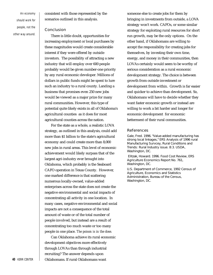An economy should work for people, not the other way around. consistent with those represented by the scenarios outlined in this analysis.

#### **Conclusion**

There is little doubt, opportunities for increasing employment or local purchases by these magnitudes would create considerable interest if they were offered by outside investors. The possibility of attracting a new industry that will employ over 600 people probably would be given number-one priority by any rural economic developer. Millions of dollars in public funds might be spent to lure such an industry to a rural county. Landing a business that promises even 250 new jobs would be viewed as a major prize for many rural communities. However, this type of potential quite likely exists in all of Oklahoma's agricultural counties as it does for most agricultural counties across the nation.

For the state as a whole, a realistic LOVA strategy, as outlined in this analysis, could add more than \$1 billion to the state's agricultural economy and could create more than 8,000 new jobs in rural areas. This level of economic achievement would likely surpass that of the largest agri-industry ever brought into Oklahoma, which probably is the Seaboard CAFO operation in Texas County. However, one marked difference is that scattering numerous locally-owned, value-added enterprises across the state does not create the negative environmental and social impacts of concentrating all activity in one location. In many cases, negative environmental and social impacts are not a consequence of the total amount of waste or of the total number of people involved, but instead are a result of concentrating too much waste or too many people in one place. *The poison is in the dose.*

Can Oklahoma achieve its rural economic development objectives more effectively through LOVAs than through industrial recruiting? The answer depends upon **40** KERR CENTER **CENTER CREA COMBINICIPY** Oklahomans **CERR** CENTER **CREAM** 

someone else to create jobs for them by bringing in investments from outside, a LOVA strategy won't work. CAFOs, or some similar strategy for exploiting rural resources for short run growth, may be the only options. On the other hand, if Oklahomans are willing to accept the responsibility for creating jobs for themselves, by investing their own time, energy, and money in their communities, then LOVAs certainly would seem to be worthy of serious consideration as a rural economic development strategy. The choice is between growth from outside investment or development from within. Growth is far easier and quicker to achieve than development. So, Oklahomans will have to decide whether they want faster economic growth or instead are willing to work a bit harder and longer for economic development for economic betterment of their rural communities.

#### **References**

Gale, Fred. 1996. "Value-added manufacturing has strong local linkages," ERS Analysis of 1996 rural Manufacturing Survcey, Rural Conditions and Trends: Rural Industry issue. 8:3. USDA, Washington, DC.

Elitzak, Howard. 1996. Food Cost Review, ERS Agriculture Economics Report No. 761, Washington, DC.

U.S. Department of Commerce, 1992 Census of Agriculture, Economics and Statistics Administration, Bureau of the Census, Washington, DC.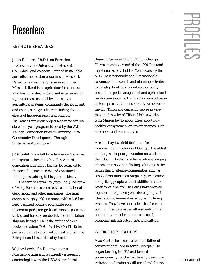### <span id="page-46-0"></span>Presenters

#### **KEYNOTE SPEAKERS**

John E. Ikerd, Ph.D is an Extension professor at the University of Missouri, Columbia, and co-coordinator of sustainable agriculture extension programs in Missouri. Raised on a small dairy farm in southwest Missouri, Ikerd is an agricultural economist who has published widely and extensively on topics such as sustainable/alternative agricultural systems, community development, and changes in agriculture including the effects of large-scale swine production. Dr. Ikerd is currently project leader for a threestate four-year program funded by the W.K. Kellogg Foundation titled "Sustaining Rural Community Development Through Sustainable Agriculture."

Joel Salatin is a full time farmer on 550 acres in Virginia's Shenandoah Valley. A third generation alternative farmer, he returned to the farm full time in 1982 and continued refining and adding to his parents' ideas.

The family's farm, Polyface, Inc. (The Farm of Many Faces) has been featured in National Geographic and other magazines. The farm services roughly 400 customers with salad bar beef, pastured poultry, eggmobile eggs, pigaerator pork, forage-based rabbits, pastured turkey and forestry products through "relationship marketing." He is the author of three books, including *YOU CAN FARM: The Entre*  preneur's Guide to Start and Succeed in a Farming *Enterprise* and *Pastured Poultry Profit\$*.

W. Joe Lewis, Ph.D. grew up on a Mississippi farm and is currently a research entomologist with the USDAAgricultural

Research Service (ARS) in Tifton, Georgia. He was recently awarded the 1999 Outstanding Senior Scientist of the Year award by the ARS. He is nationally and internationally recognized in research and planning activities to develop bio-friendly and economically sustainable pest management and agricultural production systems. He has also been active in historic preservation and downtown development in Tifton and currently serves as vicemayor of the city of Tifton. He has worked with Marion Jay to apply ideas about how healthy ecosystems work to other areas, such as schools and communities,

Marion Jay is a field facilitator for Communities in Schools of Georgia, the oldest and largest dropout prevention network in the nation. The focus of her work is engaging citizens in resolving/ finding solutions to the issues that challenge communities, such as school drop-outs, teen pregnancy, teen crime, and getting people with disabilities into the work force. She and Dr. Lewis have worked together for eighteen years developing their ideas about communities as dynamic living systems. They have concluded that for rural communities to prosper, all elements in the community must be supported: social, economic, infrastructure, arts and culture.

#### WORKSHOP LEADERS

Max Carter has been called "the father of conservation tillage in south Georgia." He began farming in 1955 and farmed conventionally for the first twenty years, then switched to farming no-till (no-plow) for the

# $\overline{ }$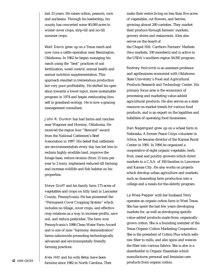last 23 years. He raises cotton, peanuts, corn and soybeans. Through his leadership, his county has converted some 40,000 acres to winter cover crops, strip-till and no-till summer crops.

Walt Davis grew up on a Texas ranch and now runs a cattle operation near Bennington, Oklahoma. In 1962 he began managing his ranch using the "best" practices of soil fertilization, weed control, animal health and animal nutrition supplementation. This approach resulted in tremendous production but very poor profitability. He shifted his operation towards a lower input, more sustainable program in 1974 and began reeducating himself in grassland ecology. He is now a grazing management consultant.

John R. Dunkin has had farms and ranches near Wagoner and Hominy, Oklahoma. He received the region four "Steward" award from the National Cattlemen's Beef Association in 1997. His belief that cattlemen are environmentalists every day has led him to reclaim highly erodible land, improve the forage base, reduce erosion (from 15 tons per year to 2 tons), implement reduced-till farming and increase wildlife and fish habitat on his properties.

Steve Groff and his family farm 175 acres of vegetables and crops on hilly land in Lancaster County, Pennsylvania. He has pioneered the "Permanent Cover Cropping System" which includes no tillage, cover crops, and effective crop rotations as a way to increase profits, save soil, and reduce pesticides. The farm won Pennsylvania's 1998 Clean Water Farm Award and is one of nine "harmony demonstration" farms nationwide promoting technologically advanced and environmentally friendly farming practices.

Alex Hitt and his wife Betsy have been farming since 1982 in North Carolina. They make their entire living on less than five acres of vegetables, cut flowers, and berries, growing almost 200 varieties. They market their produce through farmers' markets, grocery stores and restaurants. Alex also serves on the board of the Chapel Hill- Carrboro Farmers' Markets (two markets, 100 members) and is active in the USDA's southern region SARE program.

Rodney Holcomb is an assistant professor and agribusiness economist with Oklahoma State University's Food and Agricultural Products Research and Technology Center. His primary focus area is the economics of processing and marketing value-added agricultural products. He also serves as a state resource on market trends for various food products, and is an expert on the legalities and liabilities of operating food businesses.

Dan Nagengast grew up on a wheat farm in Nebraska. A former Peace Corps volunteer in Africa, he became director of the Kansas Rural Center in 1991. In 1994 he organized a cooperative of eight organic vegetable, herb, fruit, meat and poultry growers which direct markets to a C.S.A. of 350 families in Lawrence and Kansas City. He also works on projects which develop urban agriculture and markets, such as channeling farm production into a college and a meals-for-the-elderly program.

La Rhea Pepper with her husband Terry operates an organic cotton farm in West Texas. She has spent the last few years developing markets for, as well as developing specific value-added products made from, organicallygrown cotton. She is a founding member of the Texas Organic Cotton Marketing Cooperative. She is the president of Cotton Plus which sells raw fiber to mills, and also spins and weaves the fiber into various fabrics. She is also is a shareholder in Organic Essentials which manufactures personal and feminine care products from organic cotton.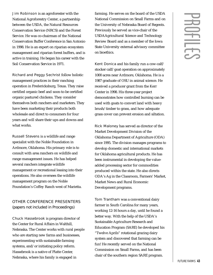Jim Robinson is an agroforester with the National Agroforestry Center, a partnership between the USDA, the Natural Resources Conservation Service (NRCS) and the Forest Service. He was co-chairman of the National Conservation Buffer Conference in San Antonio in 1998. He is an expert on riparian ecosystem management and riparian forest buffers, and is active in training. He began his career with the Soil Conservation Service in 1971.

Richard and Peggy Sechrist follow holistic management practices in their ranching operation in Fredericksburg, Texas. They raise certified organic beef and soon-to-be certified organic pastured chickens. They consider themselves both ranchers and marketers. They have been marketing their products both wholesale and direct to consumers for four years and will share their ups and downs and what works.

Russell Stevens is a wildlife and range specialist with the Noble Foundation in Ardmore, Oklahoma. His primary role is to consult with area ranchers on wildlife and range management issues. He has helped several ranchers integrate wildlife management or recreational leasing into their operations. He also oversees the wildlife management program on the Noble Foundation's Coffey Ranch west of Marietta.

#### OTHER CONFERENCE PRESENTERS

*(papers not included in Proceedings)* 

Chuck Hassebrook is program director of the Center for Rural Affairs in Walthill, Nebraska. The Center works with rural people who are starting new farms and businesses, experimenting with sustainable farming systems, and/or initiating policy reform. Hassebrook is a native of Platte Center, Nebraska, where his family is engaged in

farming. He serves on the board of the USDA National Commission on Small Farms and on the University of Nebraska Board of Regents. Previously he served as vice-chair of the USDAAgricultural Science and Technology Review Board and as a member of the Iowa State University external advisory committee on bioethics.

Kent Donica and his family run a cow-calf/ stocker calf/goat operation on approximately 1000 acres near Ardmore, Oklahoma. He is a 1987 graduate of OSU in animal science. He received a producer grant from the Kerr Center in 1998. His three-year project demonstrates how controlled burning can be used with goats to convert land with heavy brush/timber to grass, and how adequate grass cover can prevent erosion and siltation.

Rick Maloney has served as director of the Market Development Division of the Oklahoma Department of Agriculture (ODA) since 1995. The division manages programs to develop domestic and international markets for Oklahoma agricultural products. He has been instrumental in developing the valueadded processing sector for commodities produced within the state. He also directs ODA's Ag in the Classroom, Farmers' Market, Market News and Rural Economic Development programs.

Tom Trantham was a conventional dairy farmer in South Carolina for many years, working 12-16 hours a day, until he found a better way. With the help of the USDA's Sustainable Agriculture Research and Education Program (SARE) he developed his "Twelve Aprils" rotational grazing dairy system and discovered that farming can be fun! He recently served on the National Commission on Small Farms, and has been chair of the southern region SARE program.